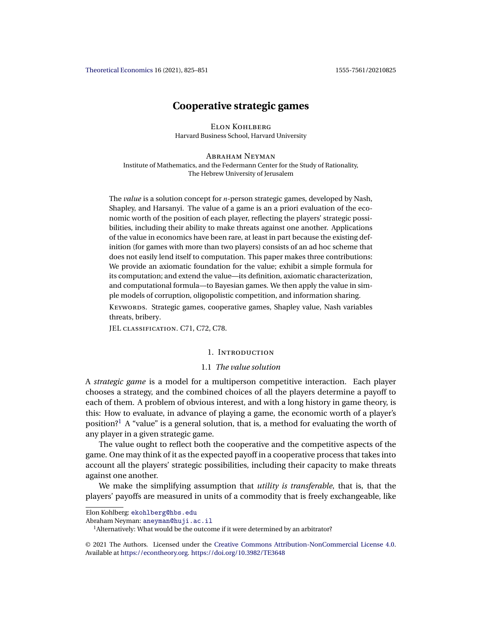<span id="page-0-0"></span>[Theoretical Economics](https://econtheory.org/) 16 (2021), 825–851 1555-7561/20210825

# **Cooperative strategic games**

Elon Kohlberg Harvard Business School, Harvard University

ABRAHAM NEYMAN Institute of Mathematics, and the Federmann Center for the Study of Rationality, The Hebrew University of Jerusalem

The *value* is a solution concept for *n*-person strategic games, developed by Nash, Shapley, and Harsanyi. The value of a game is an a priori evaluation of the economic worth of the position of each player, reflecting the players' strategic possibilities, including their ability to make threats against one another. Applications of the value in economics have been rare, at least in part because the existing definition (for games with more than two players) consists of an ad hoc scheme that does not easily lend itself to computation. This paper makes three contributions: We provide an axiomatic foundation for the value; exhibit a simple formula for its computation; and extend the value—its definition, axiomatic characterization, and computational formula—to Bayesian games. We then apply the value in simple models of corruption, oligopolistic competition, and information sharing.

KEYWORDS. Strategic games, cooperative games, Shapley value, Nash variables threats, bribery.

JEL classification. C71, C72, C78.

### 1. Introduction

## 1.1 *The value solution*

A *strategic game* is a model for a multiperson competitive interaction. Each player chooses a strategy, and the combined choices of all the players determine a payoff to each of them. A problem of obvious interest, and with a long history in game theory, is this: How to evaluate, in advance of playing a game, the economic worth of a player's position?<sup>1</sup> A "value" is a general solution, that is, a method for evaluating the worth of any player in a given strategic game.

The value ought to reflect both the cooperative and the competitive aspects of the game. One may think of it as the expected payoff in a cooperative process that takes into account all the players' strategic possibilities, including their capacity to make threats against one another.

We make the simplifying assumption that *utility is transferable*, that is, that the players' payoffs are measured in units of a commodity that is freely exchangeable, like

Elon Kohlberg: [ekohlberg@hbs.edu](mailto:ekohlberg@hbs.edu)

Abraham Neyman: [aneyman@huji.ac.il](mailto:aneyman@huji.ac.il)

<sup>&</sup>lt;sup>1</sup> Alternatively: What would be the outcome if it were determined by an arbitrator?

<sup>©</sup> 2021 The Authors. Licensed under the [Creative Commons Attribution-NonCommercial License 4.0](https://creativecommons.org/licenses/by-nc/4.0/legalcode). Available at <https://econtheory.org>. <https://doi.org/10.3982/TE3648>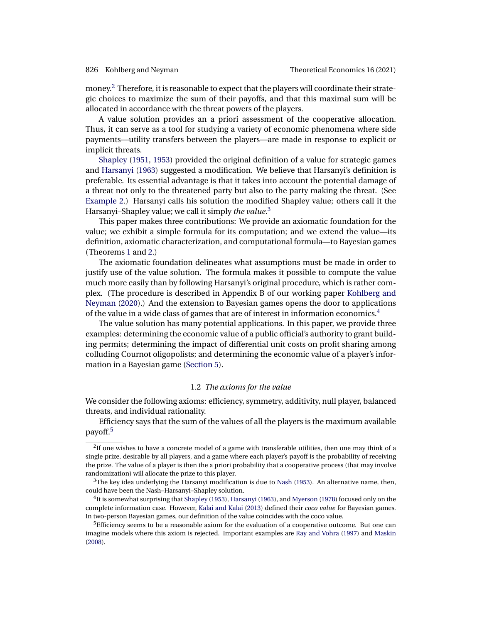<span id="page-1-0"></span>money.<sup>2</sup> Therefore, it is reasonable to expect that the players will coordinate their strategic choices to maximize the sum of their payoffs, and that this maximal sum will be allocated in accordance with the threat powers of the players.

A value solution provides an a priori assessment of the cooperative allocation. Thus, it can serve as a tool for studying a variety of economic phenomena where side payments—utility transfers between the players—are made in response to explicit or implicit threats.

[Shapley](#page-26-0) [\(1951,](#page-26-0) [1953\)](#page-26-0) provided the original definition of a value for strategic games and [Harsanyi](#page-25-0) [\(1963\)](#page-25-0) suggested a modification. We believe that Harsanyi's definition is preferable. Its essential advantage is that it takes into account the potential damage of a threat not only to the threatened party but also to the party making the threat. (See [Example 2.](#page-7-0)) Harsanyi calls his solution the modified Shapley value; others call it the Harsanyi–Shapley value; we call it simply *the value*. 3

This paper makes three contributions: We provide an axiomatic foundation for the value; we exhibit a simple formula for its computation; and we extend the value—its definition, axiomatic characterization, and computational formula—to Bayesian games (Theorems [1](#page-9-0) and [2.](#page-11-0))

The axiomatic foundation delineates what assumptions must be made in order to justify use of the value solution. The formula makes it possible to compute the value much more easily than by following Harsanyi's original procedure, which is rather complex. (The procedure is described in Appendix B of our working paper [Kohlberg and](#page-26-0) [Neyman](#page-26-0) [\(2020\)](#page-26-0).) And the extension to Bayesian games opens the door to applications of the value in a wide class of games that are of interest in information economics.<sup>4</sup>

The value solution has many potential applications. In this paper, we provide three examples: determining the economic value of a public official's authority to grant building permits; determining the impact of differential unit costs on profit sharing among colluding Cournot oligopolists; and determining the economic value of a player's information in a Bayesian game [\(Section 5\)](#page-12-0).

## 1.2 *The axioms for the value*

We consider the following axioms: efficiency, symmetry, additivity, null player, balanced threats, and individual rationality.

Efficiency says that the sum of the values of all the players is the maximum available payoff.5

 ${}^{2}$ If one wishes to have a concrete model of a game with transferable utilities, then one may think of a single prize, desirable by all players, and a game where each player's payoff is the probability of receiving the prize. The value of a player is then the a priori probability that a cooperative process (that may involve randomization) will allocate the prize to this player.

 $3$ The key idea underlying the Harsanyi modification is due to [Nash](#page-26-0) [\(1953\)](#page-26-0). An alternative name, then, could have been the Nash–Harsanyi–Shapley solution.

<sup>4</sup>It is somewhat surprising that [Shapley](#page-26-0) [\(1953\)](#page-26-0), [Harsanyi](#page-25-0) [\(1963\)](#page-25-0), and [Myerson](#page-26-0) [\(1978\)](#page-26-0) focused only on the complete information case. However, [Kalai and Kalai](#page-25-0) [\(2013\)](#page-25-0) defined their *coco value* for Bayesian games. In two-person Bayesian games, our definition of the value coincides with the coco value.

<sup>&</sup>lt;sup>5</sup>Efficiency seems to be a reasonable axiom for the evaluation of a cooperative outcome. But one can imagine models where this axiom is rejected. Important examples are [Ray and Vohra](#page-26-0) [\(1997\)](#page-26-0) and [Maskin](#page-26-0) [\(2008\)](#page-26-0).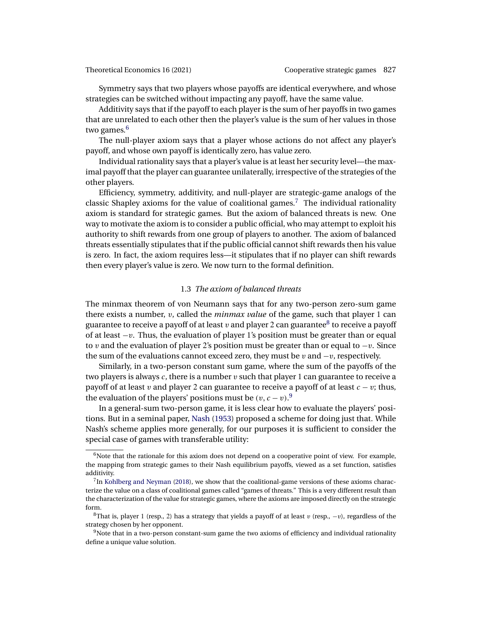<span id="page-2-0"></span>Symmetry says that two players whose payoffs are identical everywhere, and whose strategies can be switched without impacting any payoff, have the same value.

Additivity says that if the payoff to each player is the sum of her payoffs in two games that are unrelated to each other then the player's value is the sum of her values in those two games.<sup>6</sup>

The null-player axiom says that a player whose actions do not affect any player's payoff, and whose own payoff is identically zero, has value zero.

Individual rationality says that a player's value is at least her security level—the maximal payoff that the player can guarantee unilaterally, irrespective of the strategies of the other players.

Efficiency, symmetry, additivity, and null-player are strategic-game analogs of the classic Shapley axioms for the value of coalitional games.<sup>7</sup> The individual rationality axiom is standard for strategic games. But the axiom of balanced threats is new. One way to motivate the axiom is to consider a public official, who may attempt to exploit his authority to shift rewards from one group of players to another. The axiom of balanced threats essentially stipulates that if the public official cannot shift rewards then his value is zero. In fact, the axiom requires less—it stipulates that if no player can shift rewards then every player's value is zero. We now turn to the formal definition.

## 1.3 *The axiom of balanced threats*

The minmax theorem of von Neumann says that for any two-person zero-sum game there exists a number, v, called the *minmax value* of the game, such that player 1 can guarantee to receive a payoff of at least v and player 2 can guarantee<sup>8</sup> to receive a payoff of at least  $-v$ . Thus, the evaluation of player 1's position must be greater than or equal to v and the evaluation of player 2's position must be greater than or equal to  $-v$ . Since the sum of the evaluations cannot exceed zero, they must be v and  $-v$ , respectively.

Similarly, in a two-person constant sum game, where the sum of the payoffs of the two players is always  $c$ , there is a number  $v$  such that player 1 can guarantee to receive a payoff of at least v and player 2 can guarantee to receive a payoff of at least  $c - v$ ; thus, the evaluation of the players' positions must be  $(v, c - v)$ .<sup>9</sup>

In a general-sum two-person game, it is less clear how to evaluate the players' positions. But in a seminal paper, [Nash](#page-26-0) [\(1953\)](#page-26-0) proposed a scheme for doing just that. While Nash's scheme applies more generally, for our purposes it is sufficient to consider the special case of games with transferable utility:

 $6$ Note that the rationale for this axiom does not depend on a cooperative point of view. For example, the mapping from strategic games to their Nash equilibrium payoffs, viewed as a set function, satisfies additivity.

 $<sup>7</sup>$ In [Kohlberg and Neyman](#page-26-0) [\(2018\)](#page-26-0), we show that the coalitional-game versions of these axioms charac-</sup> terize the value on a class of coalitional games called "games of threats." This is a very different result than the characterization of the value for strategic games, where the axioms are imposed directly on the strategic form.

<sup>&</sup>lt;sup>8</sup>That is, player 1 (resp., 2) has a strategy that yields a payoff of at least v (resp.,  $-v$ ), regardless of the strategy chosen by her opponent.

<sup>&</sup>lt;sup>9</sup>Note that in a two-person constant-sum game the two axioms of efficiency and individual rationality define a unique value solution.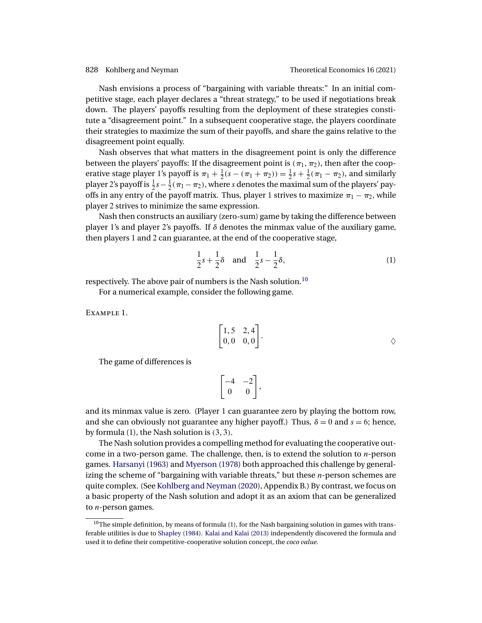<span id="page-3-0"></span>

Nash envisions a process of "bargaining with variable threats:" In an initial competitive stage, each player declares a "threat strategy," to be used if negotiations break down. The players' payoffs resulting from the deployment of these strategies constitute a "disagreement point." In a subsequent cooperative stage, the players coordinate their strategies to maximize the sum of their payoffs, and share the gains relative to the disagreement point equally.

Nash observes that what matters in the disagreement point is only the difference between the players' payoffs: If the disagreement point is  $(\pi_1, \pi_2)$ , then after the cooperative stage player 1's payoff is  $\pi_1 + \frac{1}{2}(s - (\pi_1 + \pi_2)) = \frac{1}{2}s + \frac{1}{2}(\pi_1 - \pi_2)$ , and similarly player 2's payoff is  $\frac{1}{2}s - \frac{1}{2}(\pi_1 - \pi_2)$ , where s denotes the maximal sum of the players' payoffs in any entry of the payoff matrix. Thus, player 1 strives to maximize  $\pi_1 - \pi_2$ , while player 2 strives to minimize the same expression.

Nash then constructs an auxiliary (zero-sum) game by taking the difference between player 1's and player 2's payoffs. If  $\delta$  denotes the minmax value of the auxiliary game, then players 1 and 2 can guarantee, at the end of the cooperative stage,

$$
\frac{1}{2}s + \frac{1}{2}\delta \quad \text{and} \quad \frac{1}{2}s - \frac{1}{2}\delta,
$$
 (1)

respectively. The above pair of numbers is the Nash solution.<sup>10</sup>

For a numerical example, consider the following game.

Example 1.

$$
\begin{bmatrix} 1,5 & 2,4 \\ 0,0 & 0,0 \end{bmatrix}.
$$

The game of differences is

$$
\begin{bmatrix} -4 & -2 \\ 0 & 0 \end{bmatrix},
$$

and its minmax value is zero. (Player 1 can guarantee zero by playing the bottom row, and she can obviously not guarantee any higher payoff.) Thus,  $\delta = 0$  and  $s = 6$ ; hence, by formula  $(1)$ , the Nash solution is  $(3,3)$ .

The Nash solution provides a compelling method for evaluating the cooperative outcome in a two-person game. The challenge, then, is to extend the solution to  $n$ -person games. [Harsanyi](#page-25-0) [\(1963\)](#page-25-0) and [Myerson](#page-26-0) [\(1978\)](#page-26-0) both approached this challenge by generalizing the scheme of "bargaining with variable threats," but these  $n$ -person schemes are quite complex. (See [Kohlberg and Neyman](#page-26-0) [\(2020\)](#page-26-0), Appendix B.) By contrast, we focus on a basic property of the Nash solution and adopt it as an axiom that can be generalized to  $n$ -person games.

 $10$ The simple definition, by means of formula (1), for the Nash bargaining solution in games with transferable utilities is due to [Shapley](#page-26-0) [\(1984\)](#page-26-0). [Kalai and Kalai](#page-25-0) [\(2013\)](#page-25-0) independently discovered the formula and used it to define their competitive-cooperative solution concept, the *coco value*.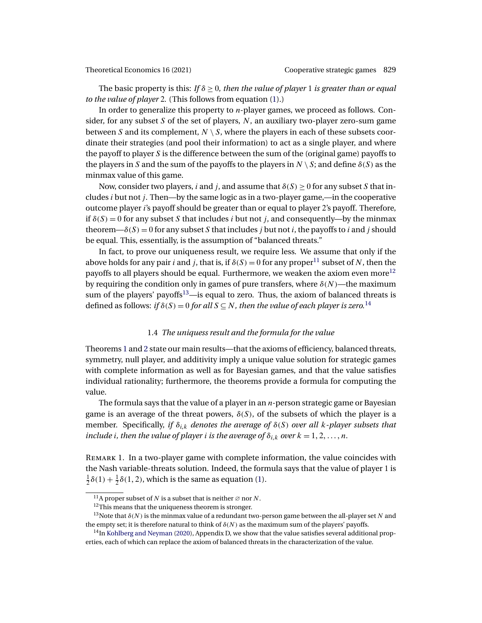<span id="page-4-0"></span>The basic property is this: *If*  $\delta \geq 0$ *, then the value of player* 1 *is greater than or equal to the value of player* 2*.* (This follows from equation [\(1\)](#page-3-0).)

In order to generalize this property to  $n$ -player games, we proceed as follows. Consider, for any subset  $S$  of the set of players,  $N$ , an auxiliary two-player zero-sum game between S and its complement,  $N \setminus S$ , where the players in each of these subsets coordinate their strategies (and pool their information) to act as a single player, and where the payoff to player S is the difference between the sum of the (original game) payoffs to the players in S and the sum of the payoffs to the players in  $N \setminus S$ ; and define  $\delta(S)$  as the minmax value of this game.

Now, consider two players, i and j, and assume that  $\delta(S) \ge 0$  for any subset S that includes  $i$  but not  $j$ . Then—by the same logic as in a two-player game,—in the cooperative outcome player i's payoff should be greater than or equal to player 2's payoff. Therefore, if  $\delta(S) = 0$  for any subset S that includes i but not j, and consequently—by the minmax theorem— $\delta(S) = 0$  for any subset S that includes j but not i, the payoffs to i and j should be equal. This, essentially, is the assumption of "balanced threats."

In fact, to prove our uniqueness result, we require less. We assume that only if the above holds for any pair *i* and *j*, that is, if  $\delta(S) = 0$  for any proper<sup>11</sup> subset of N, then the payoffs to all players should be equal. Furthermore, we weaken the axiom even more<sup>12</sup> by requiring the condition only in games of pure transfers, where  $\delta(N)$ —the maximum sum of the players' payoffs<sup>13</sup>—is equal to zero. Thus, the axiom of balanced threats is defined as follows: *if*  $\delta(S) = 0$  *for all*  $S \subseteq N$ *, then the value of each player is zero.*<sup>14</sup>

## 1.4 *The uniquess result and the formula for the value*

Theorems [1](#page-9-0) and [2](#page-11-0) state our main results—that the axioms of efficiency, balanced threats, symmetry, null player, and additivity imply a unique value solution for strategic games with complete information as well as for Bayesian games, and that the value satisfies individual rationality; furthermore, the theorems provide a formula for computing the value.

The formula says that the value of a player in an  $n$ -person strategic game or Bayesian game is an average of the threat powers,  $\delta(S)$ , of the subsets of which the player is a member. Specifically, *if*  $\delta_{i,k}$  *denotes the average of*  $\delta(S)$  *over all k-player subsets that* include i, then the value of player i is the average of  $\delta_{i,k}$  over  $k = 1, 2, \ldots, n$ .

Remark 1. In a two-player game with complete information, the value coincides with the Nash variable-threats solution. Indeed, the formula says that the value of player 1 is  $\frac{1}{2}\delta(1) + \frac{1}{2}\delta(1,2)$  $\frac{1}{2}\delta(1) + \frac{1}{2}\delta(1,2)$  $\frac{1}{2}\delta(1) + \frac{1}{2}\delta(1,2)$ , which is the same as equation (1).

<sup>&</sup>lt;sup>11</sup>A proper subset of N is a subset that is neither  $\varnothing$  nor N.

<sup>&</sup>lt;sup>12</sup>This means that the uniqueness theorem is stronger.

<sup>&</sup>lt;sup>13</sup>Note that  $\delta(N)$  is the minmax value of a redundant two-person game between the all-player set N and the empty set; it is therefore natural to think of  $\delta(N)$  as the maximum sum of the players' payoffs.

 $14$ In [Kohlberg and Neyman](#page-26-0) [\(2020\)](#page-26-0), Appendix D, we show that the value satisfies several additional properties, each of which can replace the axiom of balanced threats in the characterization of the value.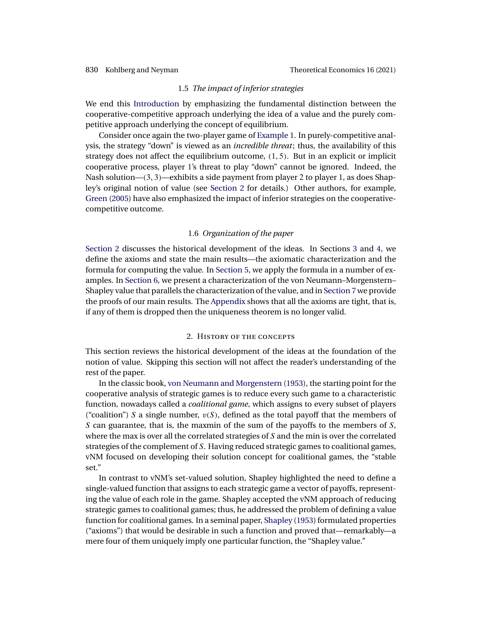### 1.5 *The impact of inferior strategies*

<span id="page-5-0"></span>We end this [Introduction](#page-0-0) by emphasizing the fundamental distinction between the cooperative-competitive approach underlying the idea of a value and the purely competitive approach underlying the concept of equilibrium.

Consider once again the two-player game of [Example 1.](#page-3-0) In purely-competitive analysis, the strategy "down" is viewed as an *incredible threat*; thus, the availability of this strategy does not affect the equilibrium outcome,  $(1, 5)$ . But in an explicit or implicit cooperative process, player 1's threat to play "down" cannot be ignored. Indeed, the Nash solution—(3- 3)—exhibits a side payment from player 2 to player 1, as does Shapley's original notion of value (see Section 2 for details.) Other authors, for example, [Green](#page-25-0) [\(2005\)](#page-25-0) have also emphasized the impact of inferior strategies on the cooperativecompetitive outcome.

## 1.6 *Organization of the paper*

Section 2 discusses the historical development of the ideas. In Sections [3](#page-7-0) and [4,](#page-9-0) we define the axioms and state the main results—the axiomatic characterization and the formula for computing the value. In [Section 5,](#page-12-0) we apply the formula in a number of examples. In [Section 6,](#page-15-0) we present a characterization of the von Neumann–Morgenstern– Shapley value that parallels the characterization of the value, and in [Section 7](#page-17-0) we provide the proofs of our main results. The [Appendix](#page-23-0) shows that all the axioms are tight, that is, if any of them is dropped then the uniqueness theorem is no longer valid.

## 2. History of the concepts

This section reviews the historical development of the ideas at the foundation of the notion of value. Skipping this section will not affect the reader's understanding of the rest of the paper.

In the classic book, [von Neumann and Morgenstern](#page-26-0) [\(1953\)](#page-26-0), the starting point for the cooperative analysis of strategic games is to reduce every such game to a characteristic function, nowadays called a *coalitional game*, which assigns to every subset of players ("coalition") S a single number,  $v(S)$ , defined as the total payoff that the members of S can guarantee, that is, the maxmin of the sum of the payoffs to the members of  $S$ , where the max is over all the correlated strategies of  $S$  and the min is over the correlated strategies of the complement of S. Having reduced strategic games to coalitional games, vNM focused on developing their solution concept for coalitional games, the "stable set."

In contrast to vNM's set-valued solution, Shapley highlighted the need to define a single-valued function that assigns to each strategic game a vector of payoffs, representing the value of each role in the game. Shapley accepted the vNM approach of reducing strategic games to coalitional games; thus, he addressed the problem of defining a value function for coalitional games. In a seminal paper, [Shapley](#page-26-0) [\(1953\)](#page-26-0) formulated properties ("axioms") that would be desirable in such a function and proved that—remarkably—a mere four of them uniquely imply one particular function, the "Shapley value."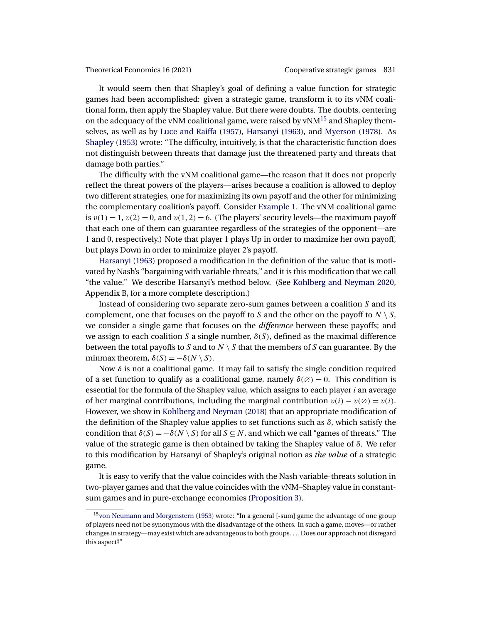<span id="page-6-0"></span>

It would seem then that Shapley's goal of defining a value function for strategic games had been accomplished: given a strategic game, transform it to its vNM coalitional form, then apply the Shapley value. But there were doubts. The doubts, centering on the adequacy of the vNM coalitional game, were raised by  $vNM<sup>15</sup>$  and Shapley themselves, as well as by [Luce and Raiffa](#page-26-0) [\(1957\)](#page-26-0), [Harsanyi](#page-25-0) [\(1963\)](#page-25-0), and [Myerson](#page-26-0) [\(1978\)](#page-26-0). As [Shapley](#page-26-0) [\(1953\)](#page-26-0) wrote: "The difficulty, intuitively, is that the characteristic function does not distinguish between threats that damage just the threatened party and threats that damage both parties."

The difficulty with the vNM coalitional game—the reason that it does not properly reflect the threat powers of the players—arises because a coalition is allowed to deploy two different strategies, one for maximizing its own payoff and the other for minimizing the complementary coalition's payoff. Consider [Example 1.](#page-3-0) The vNM coalitional game is  $v(1) = 1$ ,  $v(2) = 0$ , and  $v(1, 2) = 6$ . (The players' security levels—the maximum payoff that each one of them can guarantee regardless of the strategies of the opponent—are 1 and 0, respectively.) Note that player 1 plays Up in order to maximize her own payoff, but plays Down in order to minimize player 2's payoff.

[Harsanyi](#page-25-0) [\(1963\)](#page-25-0) proposed a modification in the definition of the value that is motivated by Nash's "bargaining with variable threats," and it is this modification that we call "the value." We describe Harsanyi's method below. (See [Kohlberg and Neyman 2020,](#page-26-0) Appendix B, for a more complete description.)

Instead of considering two separate zero-sum games between a coalition S and its complement, one that focuses on the payoff to S and the other on the payoff to  $N \setminus S$ , we consider a single game that focuses on the *difference* between these payoffs; and we assign to each coalition S a single number,  $\delta(S)$ , defined as the maximal difference between the total payoffs to S and to  $N \setminus S$  that the members of S can guarantee. By the minmax theorem,  $\delta(S) = -\delta(N \setminus S)$ .

Now  $\delta$  is not a coalitional game. It may fail to satisfy the single condition required of a set function to qualify as a coalitional game, namely  $\delta(\emptyset) = 0$ . This condition is essential for the formula of the Shapley value, which assigns to each player  $i$  an average of her marginal contributions, including the marginal contribution  $v(i) - v(\emptyset) = v(i)$ . However, we show in [Kohlberg and Neyman](#page-26-0) [\(2018\)](#page-26-0) that an appropriate modification of the definition of the Shapley value applies to set functions such as  $\delta$ , which satisfy the condition that  $\delta(S) = -\delta(N \setminus S)$  for all  $S \subseteq N$ , and which we call "games of threats." The value of the strategic game is then obtained by taking the Shapley value of δ. We refer to this modification by Harsanyi of Shapley's original notion as *the value* of a strategic game.

It is easy to verify that the value coincides with the Nash variable-threats solution in two-player games and that the value coincides with the vNM–Shapley value in constantsum games and in pure-exchange economies [\(Proposition 3\)](#page-16-0).

<sup>&</sup>lt;sup>15</sup>von Neumann and Morgenstern [\(1953\)](#page-26-0) wrote: "In a general [-sum] game the advantage of one group of players need not be synonymous with the disadvantage of the others. In such a game, moves—or rather changes in strategy—may exist which are advantageous to both groups. . . . Does our approach not disregard this aspect?"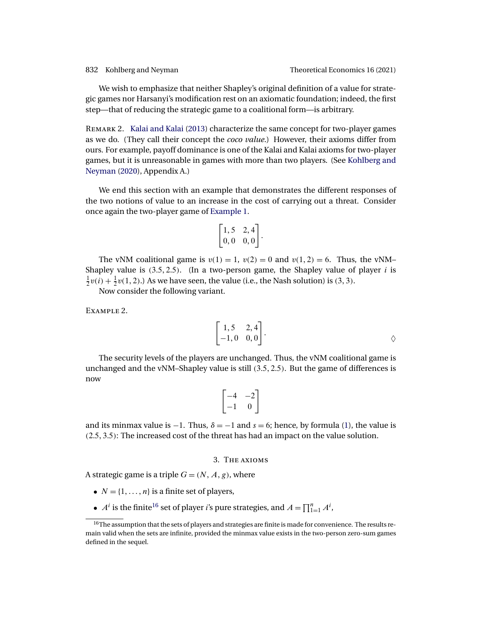<span id="page-7-0"></span>We wish to emphasize that neither Shapley's original definition of a value for strategic games nor Harsanyi's modification rest on an axiomatic foundation; indeed, the first step—that of reducing the strategic game to a coalitional form—is arbitrary.

Remark 2. [Kalai and Kalai](#page-25-0) [\(2013\)](#page-25-0) characterize the same concept for two-player games as we do. (They call their concept the *coco value*.) However, their axioms differ from ours. For example, payoff dominance is one of the Kalai and Kalai axioms for two-player games, but it is unreasonable in games with more than two players. (See [Kohlberg and](#page-26-0) [Neyman](#page-26-0) [\(2020\)](#page-26-0), Appendix A.)

We end this section with an example that demonstrates the different responses of the two notions of value to an increase in the cost of carrying out a threat. Consider once again the two-player game of [Example 1.](#page-3-0)

$$
\begin{bmatrix} 1,5 & 2,4 \\ 0,0 & 0,0 \end{bmatrix}.
$$

The vNM coalitional game is  $v(1) = 1$ ,  $v(2) = 0$  and  $v(1, 2) = 6$ . Thus, the vNM-Shapley value is  $(3.5, 2.5)$ . (In a two-person game, the Shapley value of player i is  $\frac{1}{2}v(i) + \frac{1}{2}v(1,2)$ .) As we have seen, the value (i.e., the Nash solution) is (3, 3).

Now consider the following variant.

Example 2.

$$
\begin{bmatrix} 1,5 & 2,4 \\ -1,0 & 0,0 \end{bmatrix}.
$$

The security levels of the players are unchanged. Thus, the vNM coalitional game is unchanged and the vNM–Shapley value is still  $(3.5, 2.5)$ . But the game of differences is now

$$
\begin{bmatrix} -4 & -2 \\ -1 & 0 \end{bmatrix}
$$

and its minmax value is −1. Thus,  $\delta = -1$  and  $s = 6$ ; hence, by formula [\(1\)](#page-3-0), the value is (25- 35): The increased cost of the threat has had an impact on the value solution.

# 3. The axioms

A strategic game is a triple  $G = (N, A, g)$ , where

- $N = \{1, \ldots, n\}$  is a finite set of players,
- $A^i$  is the finite<sup>16</sup> set of player *i*'s pure strategies, and  $A = \prod_{i=1}^n A^i$ ,

<sup>&</sup>lt;sup>16</sup>The assumption that the sets of players and strategies are finite is made for convenience. The results remain valid when the sets are infinite, provided the minmax value exists in the two-person zero-sum games defined in the sequel.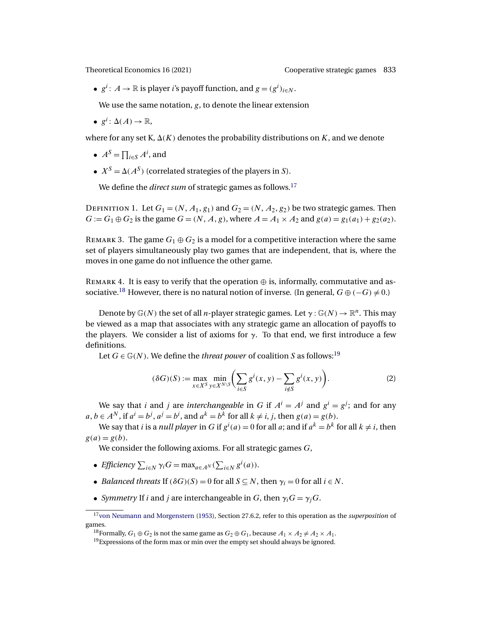<span id="page-8-0"></span>•  $g^i$ :  $A \to \mathbb{R}$  is player *i*'s payoff function, and  $g = (g^i)_{i \in N}$ .

We use the same notation,  $g$ , to denote the linear extension

•  $g^i: \Delta(A) \to \mathbb{R}$ ,

where for any set K,  $\Delta(K)$  denotes the probability distributions on K, and we denote

- $A^S = \prod_{i \in S} A^i$ , and
- $X^S = \Delta(A^S)$  (correlated strategies of the players in S).

We define the *direct sum* of strategic games as follows.<sup>17</sup>

DEFINITION 1. Let  $G_1 = (N, A_1, g_1)$  and  $G_2 = (N, A_2, g_2)$  be two strategic games. Then  $G := G_1 \oplus G_2$  is the game  $G = (N, A, g)$ , where  $A = A_1 \times A_2$  and  $g(a) = g_1(a_1) + g_2(a_2)$ .

REMARK 3. The game  $G_1 \oplus G_2$  is a model for a competitive interaction where the same set of players simultaneously play two games that are independent, that is, where the moves in one game do not influence the other game.

REMARK 4. It is easy to verify that the operation  $\oplus$  is, informally, commutative and associative.<sup>18</sup> However, there is no natural notion of inverse. (In general,  $G \oplus (-G) \neq 0$ .)

Denote by  $\mathbb{G}(N)$  the set of all *n*-player strategic games. Let  $\gamma : \mathbb{G}(N) \to \mathbb{R}^n$ . This may be viewed as a map that associates with any strategic game an allocation of payoffs to the players. We consider a list of axioms for  $\gamma$ . To that end, we first introduce a few definitions.

Let  $G \in \mathbb{G}(N)$ . We define the *threat power* of coalition S as follows:<sup>19</sup>

$$
(\delta G)(S) := \max_{x \in X^S} \min_{y \in X^{N \setminus S}} \left( \sum_{i \in S} g^i(x, y) - \sum_{i \notin S} g^i(x, y) \right). \tag{2}
$$

We say that *i* and *j* are *interchangeable* in G if  $A^i = A^j$  and  $g^i = g^j$ ; and for any  $a, b \in A^N$ , if  $a^i = b^j$ ,  $a^j = b^i$ , and  $a^k = b^k$  for all  $k \neq i, j$ , then  $g(a) = g(b)$ .

We say that *i* is a *null player* in G if  $g^i(a) = 0$  for all *a*; and if  $a^k = b^k$  for all  $k \neq i$ , then  $g(a) = g(b)$ .

We consider the following axioms. For all strategic games G,

- *Efficiency*  $\sum_{i \in N} \gamma_i G = \max_{a \in A^N} (\sum_{i \in N} g^i(a)).$
- *Balanced threats* If  $(\delta G)(S) = 0$  for all  $S \subseteq N$ , then  $\gamma_i = 0$  for all  $i \in N$ .
- *Symmetry* If *i* and *j* are interchangeable in *G*, then  $\gamma_i G = \gamma_j G$ .

<sup>1</sup>[7von Neumann and Morgenstern](#page-26-0) [\(1953\)](#page-26-0), Section 27.6.2, refer to this operation as the *superposition* of games.

<sup>&</sup>lt;sup>18</sup>Formally,  $G_1 \oplus G_2$  is not the same game as  $G_2 \oplus G_1$ , because  $A_1 \times A_2 \neq A_2 \times A_1$ .

<sup>&</sup>lt;sup>19</sup> Expressions of the form max or min over the empty set should always be ignored.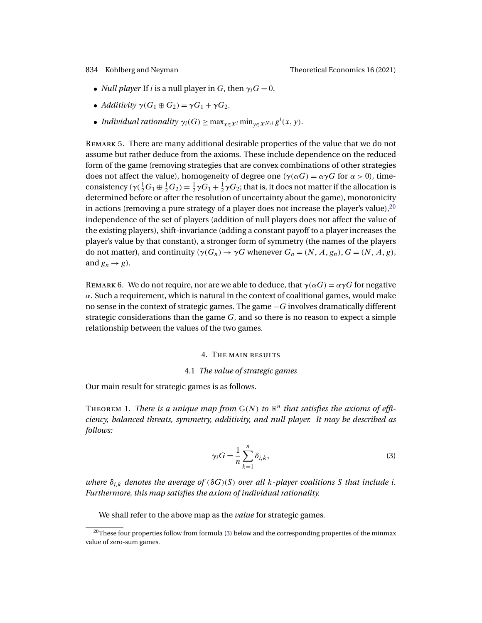- <span id="page-9-0"></span>• *Null player* If *i* is a null player in G, then  $\gamma_i G = 0$ .
- *Additivity*  $\gamma(G_1 \oplus G_2) = \gamma G_1 + \gamma G_2$ .
- *Individual rationality*  $\gamma_i(G) \ge \max_{x \in X^i} \min_{y \in X^{N \setminus i}} g^i(x, y)$ .

Remark 5. There are many additional desirable properties of the value that we do not assume but rather deduce from the axioms. These include dependence on the reduced form of the game (removing strategies that are convex combinations of other strategies does not affect the value), homogeneity of degree one ( $\gamma(\alpha G) = \alpha \gamma G$  for  $\alpha > 0$ ), timeconsistency ( $\gamma(\frac{1}{2}G_1\oplus \frac{1}{2}G_2)=\frac{1}{2}\gamma G_1+\frac{1}{2}\gamma G_2$ ; that is, it does not matter if the allocation is determined before or after the resolution of uncertainty about the game), monotonicity in actions (removing a pure strategy of a player does not increase the player's value),  $2^0$ independence of the set of players (addition of null players does not affect the value of the existing players), shift-invariance (adding a constant payoff to a player increases the player's value by that constant), a stronger form of symmetry (the names of the players do not matter), and continuity ( $\gamma(G_n) \to \gamma G$  whenever  $G_n = (N, A, g_n), G = (N, A, g)$ , and  $g_n \rightarrow g$ ).

REMARK 6. We do not require, nor are we able to deduce, that  $\gamma(\alpha G) = \alpha \gamma G$  for negative  $\alpha$ . Such a requirement, which is natural in the context of coalitional games, would make no sense in the context of strategic games. The game −G involves dramatically different strategic considerations than the game  $G$ , and so there is no reason to expect a simple relationship between the values of the two games.

## 4. The main results

## 4.1 *The value of strategic games*

Our main result for strategic games is as follows.

THEOREM 1. *There is a unique map from*  $\mathbb{G}(N)$  to  $\mathbb{R}^n$  that satisfies the axioms of effi*ciency, balanced threats, symmetry, additivity, and null player. It may be described as follows:*

$$
\gamma_i G = \frac{1}{n} \sum_{k=1}^n \delta_{i,k},\tag{3}
$$

*where*  $\delta_{i,k}$  *denotes the average of* ( $\delta G$ )(S) *over all k-player coalitions* S *that include i. Furthermore, this map satisfies the axiom of individual rationality.*

We shall refer to the above map as the *value* for strategic games.

<sup>&</sup>lt;sup>20</sup>These four properties follow from formula (3) below and the corresponding properties of the minmax value of zero-sum games.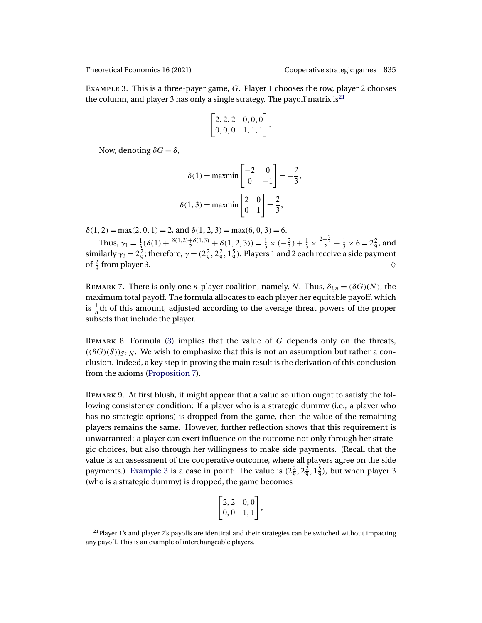Example 3. This is a three-payer game, G. Player 1 chooses the row, player 2 chooses the column, and player 3 has only a single strategy. The payoff matrix is<sup>21</sup>

$$
\begin{bmatrix} 2, 2, 2 & 0, 0, 0 \\ 0, 0, 0 & 1, 1, 1 \end{bmatrix}.
$$

Now, denoting  $\delta G = \delta$ ,

$$
\delta(1) = \text{maxmin}\begin{bmatrix} -2 & 0 \\ 0 & -1 \end{bmatrix} = -\frac{2}{3},
$$

$$
\delta(1,3) = \text{maxmin}\begin{bmatrix} 2 & 0 \\ 0 & 1 \end{bmatrix} = \frac{2}{3},
$$

 $\delta(1, 2) = \max(2, 0, 1) = 2$ , and  $\delta(1, 2, 3) = \max(6, 0, 3) = 6$ .

Thus,  $\gamma_1 = \frac{1}{3}(\delta(1) + \frac{\delta(1,2) + \delta(1,3)}{2} + \delta(1,2,3)) = \frac{1}{3} \times (-\frac{2}{3}) + \frac{1}{3} \times \frac{2+\frac{2}{3}}{2} + \frac{1}{3} \times 6 = 2\frac{2}{9}$ , and similarly  $\gamma_2 = 2\frac{2}{9}$ ; therefore,  $\gamma = (2\frac{2}{9}, 2\frac{2}{9}, 1\frac{5}{9})$ . Players 1 and 2 each receive a side payment of  $\frac{2}{9}$  from player 3.  $\Diamond$ 

REMARK 7. There is only one *n*-player coalition, namely, *N*. Thus,  $\delta_{i,n} = (\delta G)(N)$ , the maximum total payoff. The formula allocates to each player her equitable payoff, which is  $\frac{1}{n}$ th of this amount, adjusted according to the average threat powers of the proper subsets that include the player.

REMARK 8. Formula  $(3)$  implies that the value of G depends only on the threats,  $((\delta G)(S))_{S\subseteq N}$ . We wish to emphasize that this is not an assumption but rather a conclusion. Indeed, a key step in proving the main result is the derivation of this conclusion from the axioms [\(Proposition 7\)](#page-21-0).

Remark 9. At first blush, it might appear that a value solution ought to satisfy the following consistency condition: If a player who is a strategic dummy (i.e., a player who has no strategic options) is dropped from the game, then the value of the remaining players remains the same. However, further reflection shows that this requirement is unwarranted: a player can exert influence on the outcome not only through her strategic choices, but also through her willingness to make side payments. (Recall that the value is an assessment of the cooperative outcome, where all players agree on the side payments.) Example 3 is a case in point: The value is  $(2\frac{2}{9}, 2\frac{2}{9}, 1\frac{5}{9})$ , but when player 3 (who is a strategic dummy) is dropped, the game becomes

$$
\begin{bmatrix} 2, 2 & 0, 0 \\ 0, 0 & 1, 1 \end{bmatrix},
$$

 $21$ Player 1's and player 2's payoffs are identical and their strategies can be switched without impacting any payoff. This is an example of interchangeable players.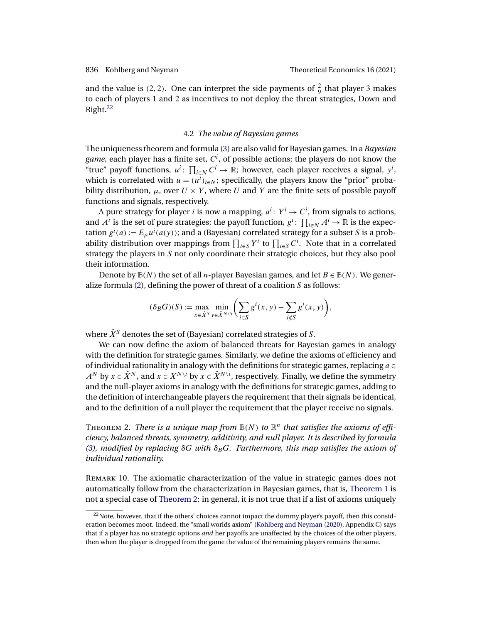<span id="page-11-0"></span>and the value is (2, 2). One can interpret the side payments of  $\frac{2}{9}$  that player 3 makes to each of players 1 and 2 as incentives to not deploy the threat strategies, Down and Right.22

## 4.2 *The value of Bayesian games*

The uniqueness theorem and formula [\(3\)](#page-9-0) are also valid for Bayesian games. In a *Bayesian game*, each player has a finite set,  $C^i$ , of possible actions; the players do not know the "true" payoff functions,  $u^i$ :  $\prod_{i \in N} C^i \to \mathbb{R}$ ; however, each player receives a signal,  $y^i$ , which is correlated with  $u = (u^i)_{i \in N}$ ; specifically, the players know the "prior" probability distribution,  $\mu$ , over  $U \times Y$ , where U and Y are the finite sets of possible payoff functions and signals, respectively.

A pure strategy for player *i* is now a mapping,  $a^i\colon Y^i\to C^i$ , from signals to actions, and  $A^i$  is the set of pure strategies; the payoff function,  $g^i$ :  $\prod_{i\in N} A^i \to \mathbb{R}$  is the expectation  $g^{i}(a) := E_{\mu} u^{i}(a(y))$ ; and a (Bayesian) correlated strategy for a subset S is a probability distribution over mappings from  $\prod_{i\in S} Y^i$  to  $\prod_{i\in S} C^i$ . Note that in a correlated strategy the players in S not only coordinate their strategic choices, but they also pool their information.

Denote by  $\mathbb{B}(N)$  the set of all *n*-player Bayesian games, and let  $B \in \mathbb{B}(N)$ . We generalize formula  $(2)$ , defining the power of threat of a coalition  $S$  as follows:

$$
(\delta_B G)(S) := \max_{x \in \hat{X}^S} \min_{y \in \hat{X}^N \setminus S} \left( \sum_{i \in S} g^i(x, y) - \sum_{i \notin S} g^i(x, y) \right),
$$

where  $\hat{X}^S$  denotes the set of (Bayesian) correlated strategies of S.

We can now define the axiom of balanced threats for Bayesian games in analogy with the definition for strategic games. Similarly, we define the axioms of efficiency and of individual rationality in analogy with the definitions for strategic games, replacing  $a \in$  $A^N$  by  $x \in \hat{X}^N$ , and  $x \in X^{N \setminus i}$  by  $x \in \hat{X}^{N \setminus i}$ , respectively. Finally, we define the symmetry and the null-player axioms in analogy with the definitions for strategic games, adding to the definition of interchangeable players the requirement that their signals be identical, and to the definition of a null player the requirement that the player receive no signals.

THEOREM 2. *There is a unique map from*  $\mathbb{B}(N)$  to  $\mathbb{R}^n$  that satisfies the axioms of effi*ciency, balanced threats, symmetry, additivity, and null player. It is described by formula* [\(3\)](#page-9-0)*, modified by replacing*  $\delta G$  *with*  $\delta_B G$ *. Furthermore, this map satisfies the axiom of individual rationality.*

Remark 10. The axiomatic characterization of the value in strategic games does not automatically follow from the characterization in Bayesian games, that is, [Theorem 1](#page-9-0) is not a special case of Theorem 2: in general, it is not true that if a list of axioms uniquely

 $^{22}$ Note, however, that if the others' choices cannot impact the dummy player's payoff, then this consideration becomes moot. Indeed, the "small worlds axiom" [\(Kohlberg and Neyman](#page-26-0) [\(2020\)](#page-26-0), Appendix C) says that if a player has no strategic options *and* her payoffs are unaffected by the choices of the other players, then when the player is dropped from the game the value of the remaining players remains the same.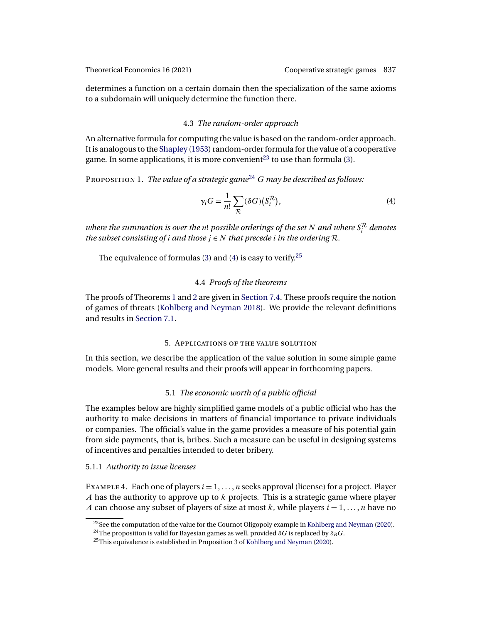<span id="page-12-0"></span>

determines a function on a certain domain then the specialization of the same axioms to a subdomain will uniquely determine the function there.

## 4.3 *The random-order approach*

An alternative formula for computing the value is based on the random-order approach. It is analogous to the [Shapley](#page-26-0) [\(1953\)](#page-26-0) random-order formula for the value of a cooperative game. In some applications, it is more convenient<sup>23</sup> to use than formula [\(3\)](#page-9-0).

Proposition 1. *The value of a strategic game*<sup>24</sup> G *may be described as follows:*

$$
\gamma_i G = \frac{1}{n!} \sum_{\mathcal{R}} (\delta G) \left( S_i^{\mathcal{R}} \right),\tag{4}
$$

where the summation is over the n! possible orderings of the set N<sup>and where  $S^\mathcal{R}_i$  denotes</sup> *the subset consisting of i and those*  $j \in N$  *that precede i in the ordering*  $R$ *.* 

The equivalence of formulas [\(3\)](#page-9-0) and (4) is easy to verify.<sup>25</sup>

# 4.4 *Proofs of the theorems*

The proofs of Theorems [1](#page-9-0) and [2](#page-11-0) are given in [Section 7.4.](#page-22-0) These proofs require the notion of games of threats [\(Kohlberg and Neyman 2018\)](#page-26-0). We provide the relevant definitions and results in [Section 7.1.](#page-17-0)

## 5. Applications of the value solution

In this section, we describe the application of the value solution in some simple game models. More general results and their proofs will appear in forthcoming papers.

# 5.1 *The economic worth of a public official*

The examples below are highly simplified game models of a public official who has the authority to make decisions in matters of financial importance to private individuals or companies. The official's value in the game provides a measure of his potential gain from side payments, that is, bribes. Such a measure can be useful in designing systems of incentives and penalties intended to deter bribery.

# 5.1.1 *Authority to issue licenses*

EXAMPLE 4. Each one of players  $i = 1, ..., n$  seeks approval (license) for a project. Player A has the authority to approve up to  $k$  projects. This is a strategic game where player A can choose any subset of players of size at most k, while players  $i = 1, \ldots, n$  have no

<sup>&</sup>lt;sup>23</sup>See the computation of the value for the Cournot Oligopoly example in [Kohlberg and Neyman](#page-26-0) [\(2020\)](#page-26-0).

<sup>&</sup>lt;sup>24</sup>The proposition is valid for Bayesian games as well, provided  $\delta G$  is replaced by  $\delta_B G$ .

 $^{25}$ This equivalence is established in Proposition 3 of [Kohlberg and Neyman](#page-26-0) [\(2020\)](#page-26-0).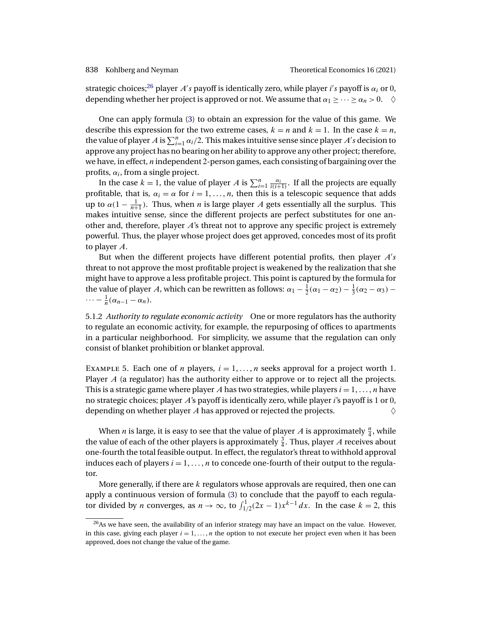strategic choices; $^{26}$  player  $A's$  payoff is identically zero, while player  $i's$  payoff is  $\alpha_i$  or  $0,$ depending whether her project is approved or not. We assume that  $\alpha_1 \geq \cdots \geq \alpha_n > 0$ .  $\diamond$ 

One can apply formula [\(3\)](#page-9-0) to obtain an expression for the value of this game. We describe this expression for the two extreme cases,  $k = n$  and  $k = 1$ . In the case  $k = n$ , the value of player A is  $\sum_{i=1}^{n} \alpha_i/2$ . This makes intuitive sense since player A's decision to approve any project has no bearing on her ability to approve any other project; therefore, we have, in effect,  $n$  independent 2-person games, each consisting of bargaining over the profits,  $\alpha_i$ , from a single project.

In the case  $k = 1$ , the value of player A is  $\sum_{i=1}^{n} \frac{\alpha_i}{i(i+1)}$ . If all the projects are equally profitable, that is,  $\alpha_i = \alpha$  for  $i = 1, \dots, n$ , then this is a telescopic sequence that adds up to  $\alpha(1 - \frac{1}{n+1})$ . Thus, when *n* is large player *A* gets essentially all the surplus. This makes intuitive sense, since the different projects are perfect substitutes for one another and, therefore, player A's threat not to approve any specific project is extremely powerful. Thus, the player whose project does get approved, concedes most of its profit to player A.

But when the different projects have different potential profits, then player  $A's$ threat to not approve the most profitable project is weakened by the realization that she might have to approve a less profitable project. This point is captured by the formula for the value of player A, which can be rewritten as follows:  $\alpha_1 - \frac{1}{2}(\alpha_1 - \alpha_2) - \frac{1}{3}(\alpha_2 - \alpha_3)$  $\cdots - \frac{1}{n}(\alpha_{n-1} - \alpha_n).$ 

5.1.2 *Authority to regulate economic activity* One or more regulators has the authority to regulate an economic activity, for example, the repurposing of offices to apartments in a particular neighborhood. For simplicity, we assume that the regulation can only consist of blanket prohibition or blanket approval.

EXAMPLE 5. Each one of *n* players,  $i = 1, ..., n$  seeks approval for a project worth 1. Player  $A$  (a regulator) has the authority either to approve or to reject all the projects. This is a strategic game where player A has two strategies, while players  $i = 1, \ldots, n$  have no strategic choices; player  $\vec{A}$ 's payoff is identically zero, while player *i*'s payoff is 1 or 0, depending on whether player A has approved or rejected the projects.  $\Diamond$ 

When *n* is large, it is easy to see that the value of player *A* is approximately  $\frac{n}{4}$ , while the value of each of the other players is approximately  $\frac{3}{4}$ . Thus, player A receives about one-fourth the total feasible output. In effect, the regulator's threat to withhold approval induces each of players  $i = 1, ..., n$  to concede one-fourth of their output to the regulator.

More generally, if there are  $k$  regulators whose approvals are required, then one can apply a continuous version of formula [\(3\)](#page-9-0) to conclude that the payoff to each regulator divided by *n* converges, as  $n \to \infty$ , to  $\int_{1/2}^{1}(2x-1)x^{k-1} dx$ . In the case  $k = 2$ , this

<sup>&</sup>lt;sup>26</sup>As we have seen, the availability of an inferior strategy may have an impact on the value. However, in this case, giving each player  $i = 1, \ldots, n$  the option to not execute her project even when it has been approved, does not change the value of the game.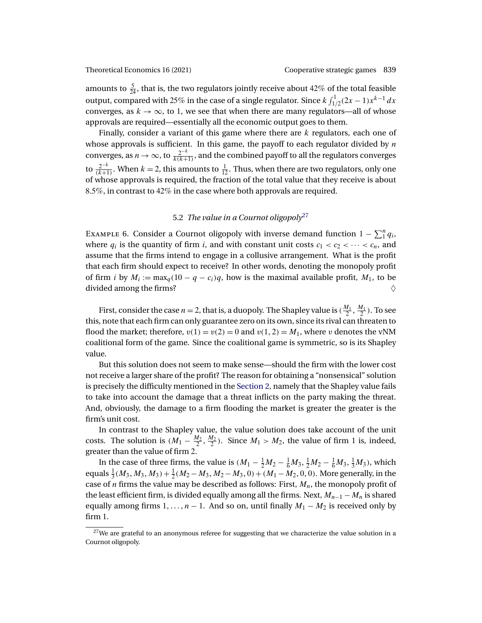amounts to  $\frac{5}{24}$ , that is, the two regulators jointly receive about 42% of the total feasible output, compared with 25% in the case of a single regulator. Since  $k \int_{1/2}^1 (2x-1) x^{k-1} \, dx$ converges, as  $k \to \infty$ , to 1, we see that when there are many regulators—all of whose approvals are required—essentially all the economic output goes to them.

Finally, consider a variant of this game where there are  $k$  regulators, each one of whose approvals is sufficient. In this game, the payoff to each regulator divided by  $n$ converges, as  $n \to \infty$ , to  $\frac{2^{-k}}{k(k+1)}$ , and the combined payoff to all the regulators converges to  $\frac{2^{-k}}{(k+1)}$ . When  $k = 2$ , this amounts to  $\frac{1}{12}$ . Thus, when there are two regulators, only one of whose approvals is required, the fraction of the total value that they receive is about 85%, in contrast to 42% in the case where both approvals are required.

# 5.2 *The value in a Cournot oligopoly*<sup>27</sup>

EXAMPLE 6. Consider a Cournot oligopoly with inverse demand function  $1 - \sum_{i=1}^{n} q_i$ , where  $q_i$  is the quantity of firm i, and with constant unit costs  $c_1 < c_2 < \cdots < c_n$ , and assume that the firms intend to engage in a collusive arrangement. What is the profit that each firm should expect to receive? In other words, denoting the monopoly profit of firm i by  $M_i := \max_q(10 - q - c_i)q$ , how is the maximal available profit,  $M_1$ , to be divided among the firms?

First, consider the case  $n = 2$ , that is, a duopoly. The Shapley value is  $(\frac{M_1}{2}, \frac{M_1}{2})$ . To see this, note that each firm can only guarantee zero on its own, since its rival can threaten to flood the market; therefore,  $v(1) = v(2) = 0$  and  $v(1, 2) = M_1$ , where v denotes the vNM coalitional form of the game. Since the coalitional game is symmetric, so is its Shapley value.

But this solution does not seem to make sense—should the firm with the lower cost not receive a larger share of the profit? The reason for obtaining a "nonsensical" solution is precisely the difficulty mentioned in the [Section 2,](#page-5-0) namely that the Shapley value fails to take into account the damage that a threat inflicts on the party making the threat. And, obviously, the damage to a firm flooding the market is greater the greater is the firm's unit cost.

In contrast to the Shapley value, the value solution does take account of the unit costs. The solution is  $(M_1 - \frac{M_2}{2}, \frac{M_2}{2})$ . Since  $M_1 > M_2$ , the value of firm 1 is, indeed, greater than the value of firm 2.

In the case of three firms, the value is  $(M_1 - \frac{1}{2}M_2 - \frac{1}{6}M_3, \frac{1}{2}M_2 - \frac{1}{6}M_3, \frac{1}{3}M_3)$ , which equals  $\frac{1}{3}(M_3, M_3, M_3) + \frac{1}{2}(M_2 - M_3, M_2 - M_3, 0) + (M_1 - M_2, 0, 0)$ . More generally, in the case of  $n$  firms the value may be described as follows: First,  $M_n$ , the monopoly profit of the least efficient firm, is divided equally among all the firms. Next,  $M_{n-1} - M_n$  is shared equally among firms  $1, \ldots, n-1$ . And so on, until finally  $M_1 - M_2$  is received only by firm 1.

 $27$ We are grateful to an anonymous referee for suggesting that we characterize the value solution in a Cournot oligopoly.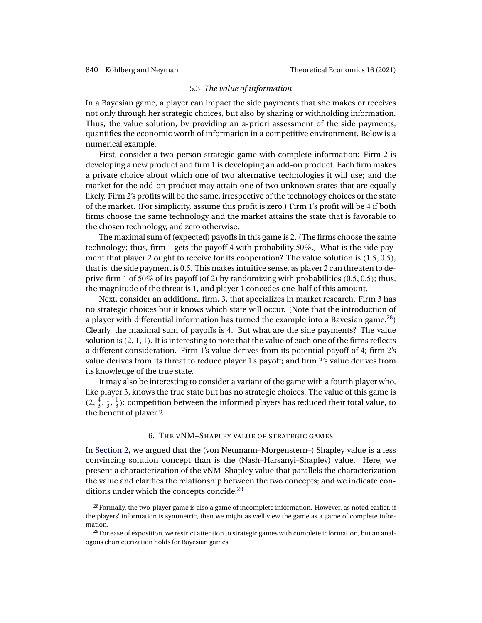## 5.3 *The value of information*

<span id="page-15-0"></span>In a Bayesian game, a player can impact the side payments that she makes or receives not only through her strategic choices, but also by sharing or withholding information. Thus, the value solution, by providing an a-priori assessment of the side payments, quantifies the economic worth of information in a competitive environment. Below is a numerical example.

First, consider a two-person strategic game with complete information: Firm 2 is developing a new product and firm 1 is developing an add-on product. Each firm makes a private choice about which one of two alternative technologies it will use; and the market for the add-on product may attain one of two unknown states that are equally likely. Firm 2's profits will be the same, irrespective of the technology choices or the state of the market. (For simplicity, assume this profit is zero.) Firm 1's profit will be 4 if both firms choose the same technology and the market attains the state that is favorable to the chosen technology, and zero otherwise.

The maximal sum of (expected) payoffs in this game is 2. (The firms choose the same technology; thus, firm 1 gets the payoff 4 with probability 50%.) What is the side payment that player 2 ought to receive for its cooperation? The value solution is  $(1.5, 0.5)$ , that is, the side payment is 05. This makes intuitive sense, as player 2 can threaten to deprive firm 1 of 50% of its payoff (of 2) by randomizing with probabilities  $(0.5, 0.5)$ ; thus, the magnitude of the threat is 1, and player 1 concedes one-half of this amount.

Next, consider an additional firm, 3, that specializes in market research. Firm 3 has no strategic choices but it knows which state will occur. (Note that the introduction of a player with differential information has turned the example into a Bayesian game.28) Clearly, the maximal sum of payoffs is 4. But what are the side payments? The value solution is  $(2, 1, 1)$ . It is interesting to note that the value of each one of the firms reflects a different consideration. Firm 1's value derives from its potential payoff of 4; firm 2's value derives from its threat to reduce player 1's payoff; and firm 3's value derives from its knowledge of the true state.

It may also be interesting to consider a variant of the game with a fourth player who, like player 3, knows the true state but has no strategic choices. The value of this game is  $(2, \frac{4}{3}, \frac{1}{3}, \frac{1}{3})$ : competition between the informed players has reduced their total value, to the benefit of player 2.

## 6. The vNM–Shapley value of strategic games

In [Section 2,](#page-5-0) we argued that the (von Neumann–Morgenstern–) Shapley value is a less convincing solution concept than is the (Nash–Harsanyi–Shapley) value. Here, we present a characterization of the vNM–Shapley value that parallels the characterization the value and clarifies the relationship between the two concepts; and we indicate conditions under which the concepts concide.<sup>29</sup>

<sup>&</sup>lt;sup>28</sup>Formally, the two-player game is also a game of incomplete information. However, as noted earlier, if the players' information is symmetric, then we might as well view the game as a game of complete information.

 $^{29}$ For ease of exposition, we restrict attention to strategic games with complete information, but an analogous characterization holds for Bayesian games.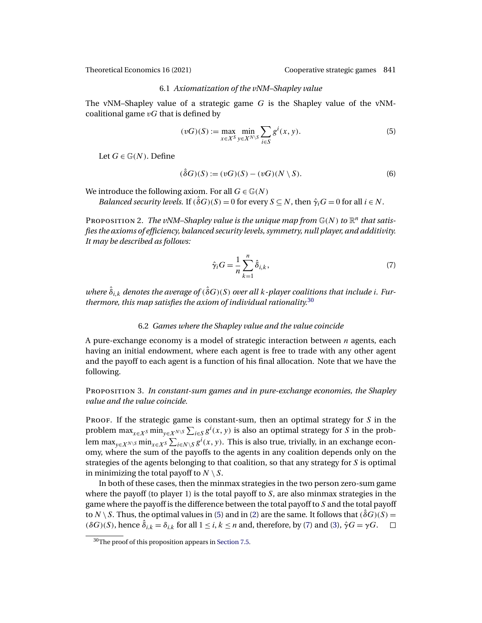## 6.1 *Axiomatization of the vNM–Shapley value*

<span id="page-16-0"></span>The vNM–Shapley value of a strategic game  $G$  is the Shapley value of the vNMcoalitional game  $vG$  that is defined by

$$
(vG)(S) := \max_{x \in X^S} \min_{y \in X^{N \setminus S}} \sum_{i \in S} g^i(x, y).
$$
 (5)

Let  $G \in \mathbb{G}(N)$ . Define

$$
(\hat{\delta}G)(S) := (vG)(S) - (vG)(N \setminus S). \tag{6}
$$

We introduce the following axiom. For all  $G \in \mathbb{G}(N)$ 

*Balanced security levels.* If  $(\delta G)(S) = 0$  for every  $S \subseteq N$ , then  $\hat{\gamma}_i G = 0$  for all  $i \in N$ .

PROPOSITION 2. *The vNM–Shapley value is the unique map from*  $\mathbb{G}(N)$  *to*  $\mathbb{R}^n$  *that satisfies the axioms of efficiency, balanced security levels, symmetry, null player, and additivity. It may be described as follows:*

$$
\hat{\gamma}_i G = \frac{1}{n} \sum_{k=1}^n \hat{\delta}_{i,k},\tag{7}
$$

where  $\hat{\delta}_{i,k}$  denotes the average of  $(\hat{\delta}G)(S)$  over all k-player coalitions that include i. Fur*thermore, this map satisfies the axiom of individual rationality.*<sup>30</sup>

## 6.2 *Games where the Shapley value and the value coincide*

A pure-exchange economy is a model of strategic interaction between  $n$  agents, each having an initial endowment, where each agent is free to trade with any other agent and the payoff to each agent is a function of his final allocation. Note that we have the following.

Proposition 3. *In constant-sum games and in pure-exchange economies, the Shapley value and the value coincide.*

PROOF. If the strategic game is constant-sum, then an optimal strategy for  $S$  in the problem  $\max_{x \in X^S} \min_{y \in X^N \setminus S} \sum_{i \in S} g^i(x, y)$  is also an optimal strategy for S in the problem max $_{y\in X^{N\setminus S}}$  min $_{x\in X^S}\sum_{i\in N\setminus S}g^i(x,y).$  This is also true, trivially, in an exchange economy, where the sum of the payoffs to the agents in any coalition depends only on the strategies of the agents belonging to that coalition, so that any strategy for S is optimal in minimizing the total payoff to  $N \setminus S$ .

In both of these cases, then the minmax strategies in the two person zero-sum game where the payoff (to player 1) is the total payoff to  $S$ , are also minmax strategies in the game where the payoff is the difference between the total payoff to S and the total payoff to  $N \setminus S$ . Thus, the optimal values in (5) and in [\(2\)](#page-8-0) are the same. It follows that  $(\hat{\delta}G)(S)$  =  $(\delta G)(S)$ , hence  $\hat{\delta}_{i,k} = \delta_{i,k}$  for all  $1 \leq i, k \leq n$  and, therefore, by (7) and [\(3\)](#page-9-0),  $\hat{\gamma}G = \gamma G$ .

<sup>30</sup>The proof of this proposition appears in [Section 7.5.](#page-23-0)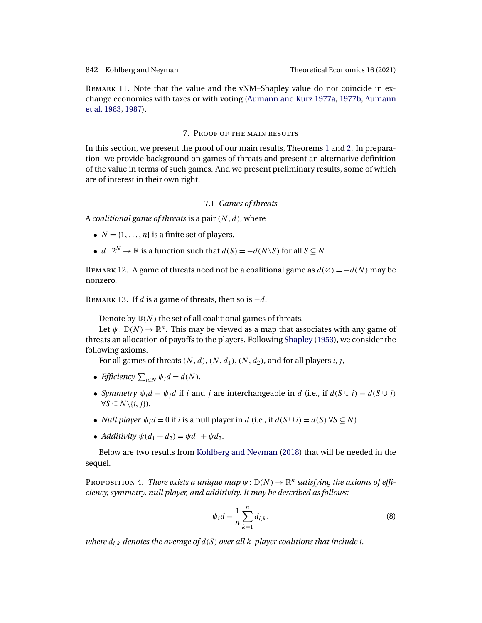<span id="page-17-0"></span>Remark 11. Note that the value and the vNM–Shapley value do not coincide in exchange economies with taxes or with voting [\(Aumann and Kurz 1977a,](#page-25-0) [1977b,](#page-25-0) [Aumann](#page-25-0) [et al. 1983,](#page-25-0) [1987\)](#page-25-0).

## 7. Proof of the main results

In this section, we present the proof of our main results, Theorems [1](#page-9-0) and [2.](#page-11-0) In preparation, we provide background on games of threats and present an alternative definition of the value in terms of such games. And we present preliminary results, some of which are of interest in their own right.

# 7.1 *Games of threats*

A *coalitional game of threats* is a pair  $(N, d)$ , where

- $N = \{1, \ldots, n\}$  is a finite set of players.
- $d: 2^N \to \mathbb{R}$  is a function such that  $d(S) = -d(N\setminus S)$  for all  $S \subseteq N$ .

REMARK 12. A game of threats need not be a coalitional game as  $d(\emptyset) = -d(N)$  may be nonzero.

REMARK 13. If d is a game of threats, then so is  $-d$ .

Denote by  $D(N)$  the set of all coalitional games of threats.

Let  $\psi: \mathbb{D}(N) \to \mathbb{R}^n$ . This may be viewed as a map that associates with any game of threats an allocation of payoffs to the players. Following [Shapley](#page-26-0) [\(1953\)](#page-26-0), we consider the following axioms.

For all games of threats  $(N, d)$ ,  $(N, d_1)$ ,  $(N, d_2)$ , and for all players *i*, *j*,

- *Efficiency*  $\sum_{i \in N} \psi_i d = d(N)$ .
- *Symmetry*  $\psi_i d = \psi_j d$  if i and j are interchangeable in d (i.e., if  $d(S \cup i) = d(S \cup j)$  $\forall S \subseteq N \setminus \{i, j\}.$
- *Null player*  $\psi_i d = 0$  if *i* is a null player in d (i.e., if  $d(S \cup i) = d(S) \forall S \subseteq N$ ).
- *Additivity*  $\psi(d_1 + d_2) = \psi d_1 + \psi d_2$ .

Below are two results from [Kohlberg and Neyman](#page-26-0) [\(2018\)](#page-26-0) that will be needed in the sequel.

PROPOSITION 4. *There exists a unique map*  $\psi$ :  $\mathbb{D}(N) \to \mathbb{R}^n$  *satisfying the axioms of efficiency, symmetry, null player, and additivity. It may be described as follows:*

$$
\psi_i d = \frac{1}{n} \sum_{k=1}^n d_{i,k},
$$
\n(8)

where  $d_{i,k}$  denotes the average of  $d(S)$  over all  $k$  -player coalitions that include i.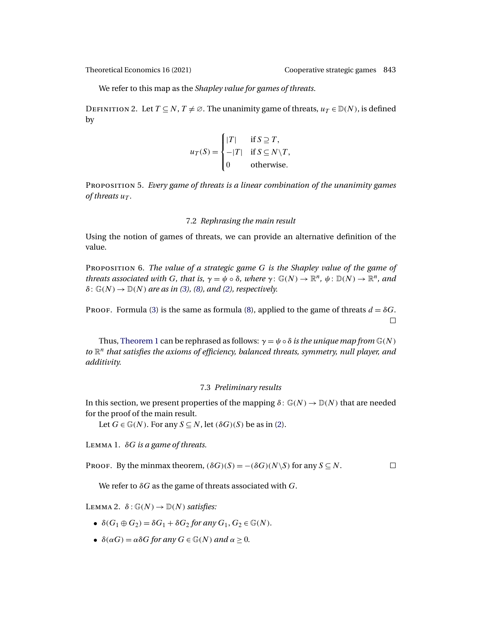<span id="page-18-0"></span>

We refer to this map as the *Shapley value for games of threats*.

DEFINITION 2. Let  $T \subseteq N$ ,  $T \neq \emptyset$ . The unanimity game of threats,  $u_T \in D(N)$ , is defined by

 $\lambda$ 

$$
u_T(S) = \begin{cases} |T| & \text{if } S \supseteq T, \\ -|T| & \text{if } S \subseteq N \setminus T, \\ 0 & \text{otherwise.} \end{cases}
$$

Proposition 5. *Every game of threats is a linear combination of the unanimity games of threats*  $u_T$ .

## 7.2 *Rephrasing the main result*

Using the notion of games of threats, we can provide an alternative definition of the value.

Proposition 6. *The value of a strategic game* G *is the Shapley value of the game of threats associated with* G, that is,  $\gamma = \psi \circ \delta$ , where  $\gamma : \mathbb{G}(N) \to \mathbb{R}^n$ ,  $\psi : \mathbb{D}(N) \to \mathbb{R}^n$ , and  $\delta$ :  $\mathbb{G}(N) \rightarrow \mathbb{D}(N)$  *are as in [\(3\)](#page-9-0), [\(8\)](#page-17-0), and [\(2\)](#page-8-0), respectively.* 

PROOF. Formula [\(3\)](#page-9-0) is the same as formula [\(8\)](#page-17-0), applied to the game of threats  $d = \delta G$ .  $\Box$ 

Thus, [Theorem 1](#page-9-0) can be rephrased as follows:  $\gamma = \psi \circ \delta$  *is the unique map from*  $\mathbb{G}(N)$ to  $\mathbb{R}^n$  that satisfies the axioms of efficiency, balanced threats, symmetry, null player, and *additivity.*

## 7.3 *Preliminary results*

In this section, we present properties of the mapping  $\delta: \mathbb{G}(N) \to \mathbb{D}(N)$  that are needed for the proof of the main result.

Let  $G \in \mathbb{G}(N)$ . For any  $S \subseteq N$ , let  $(\delta G)(S)$  be as in [\(2\)](#page-8-0).

Lemma 1. δG *is a game of threats.*

PROOF. By the minmax theorem,  $(\delta G)(S) = -(\delta G)(N\ S)$  for any  $S \subseteq N$ .  $\Box$ 

We refer to  $\delta G$  as the game of threats associated with G.

LEMMA 2.  $\delta$ :  $\mathbb{G}(N) \rightarrow \mathbb{D}(N)$  *satisfies:* 

- $\delta(G_1 \oplus G_2) = \delta G_1 + \delta G_2$  for any  $G_1, G_2 \in \mathbb{G}(N)$ .
- $\delta(\alpha G) = \alpha \delta G$  for any  $G \in \mathbb{G}(N)$  and  $\alpha > 0$ .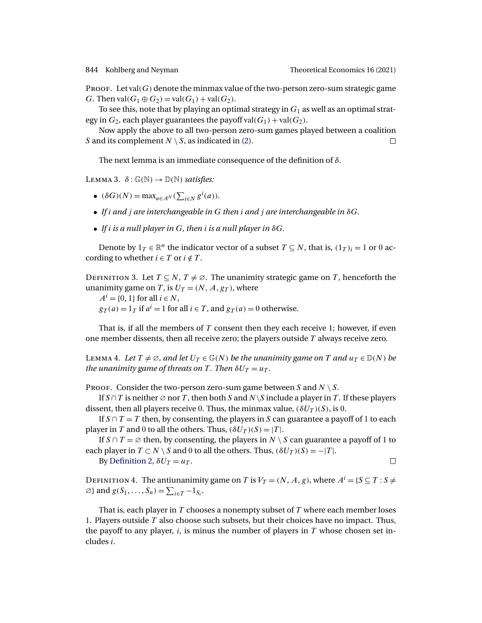$\Box$ 

<span id="page-19-0"></span>PROOF. Let val $(G)$  denote the minmax value of the two-person zero-sum strategic game G. Then  $val(G_1 \oplus G_2) = val(G_1) + val(G_2)$ .

To see this, note that by playing an optimal strategy in  $G_1$  as well as an optimal strategy in  $G_2$ , each player guarantees the payoff val $(G_1)$  + val $(G_2)$ .

Now apply the above to all two-person zero-sum games played between a coalition S and its complement  $N \setminus S$ , as indicated in [\(2\)](#page-8-0). П

The next lemma is an immediate consequence of the definition of  $\delta$ .

LEMMA 3.  $\delta: \mathbb{G}(\mathbb{N}) \to \mathbb{D}(\mathbb{N})$  *satisfies:* 

- $(\delta G)(N) = \max_{a \in A^N} (\sum_{i \in N} g^i(a)).$
- *If* i *and* j *are interchangeable in* G *then* i *and* j *are interchangeable in* δG*.*
- *If* i *is a null player in* G*, then* i *is a null player in* δG*.*

Denote by  $1_T \in \mathbb{R}^n$  the indicator vector of a subset  $T \subseteq N$ , that is,  $(1_T)_i = 1$  or 0 according to whether  $i \in T$  or  $i \notin T$ .

DEFINITION 3. Let  $T \subseteq N$ ,  $T \neq \emptyset$ . The unanimity strategic game on T, henceforth the unanimity game on T, is  $U_T = (N, A, g_T)$ , where

 $A^i = \{0, 1\}$  for all  $i \in N$ ,  $g_T(a) = 1_T$  if  $a^i = 1$  for all  $i \in T$ , and  $g_T(a) = 0$  otherwise.

That is, if all the members of  $T$  consent then they each receive 1; however, if even one member dissents, then all receive zero; the players outside  $T$  always receive zero.

LEMMA 4. Let  $T \neq \emptyset$ , and let  $U_T \in \mathbb{G}(N)$  be the unanimity game on T and  $u_T \in \mathbb{D}(N)$  be *the unanimity game of threats on* T. Then  $\delta U_T = u_T$ .

PROOF. Consider the two-person zero-sum game between S and  $N \setminus S$ .

If  $S \cap T$  is neither  $\emptyset$  nor T, then both S and N\S include a player in T. If these players dissent, then all players receive 0. Thus, the minmax value,  $(\delta U_T)(S)$ , is 0.

If  $S \cap T = T$  then, by consenting, the players in S can guarantee a payoff of 1 to each player in T and 0 to all the others. Thus,  $(\delta U_T)(S) = |T|$ .

If  $S \cap T = \emptyset$  then, by consenting, the players in  $N \setminus S$  can guarantee a payoff of 1 to each player in  $T \subset N \setminus S$  and 0 to all the others. Thus,  $(\delta U_T)(S) = -|T|$ .

By [Definition 2,](#page-18-0)  $\delta U_T = u_T$ .

DEFINITION 4. The antiunanimity game on  $T$  is  $V_T = (N, A, g)$ , where  $A^i = \{S \subseteq T : S \neq \emptyset\}$  $\varnothing$ } and  $g(S_1,\ldots,S_n) = \sum_{i\in T} -1_{S_i}$ .

That is, each player in  $T$  chooses a nonempty subset of  $T$  where each member loses 1. Players outside  $T$  also choose such subsets, but their choices have no impact. Thus, the payoff to any player,  $i$ , is minus the number of players in  $T$  whose chosen set includes i.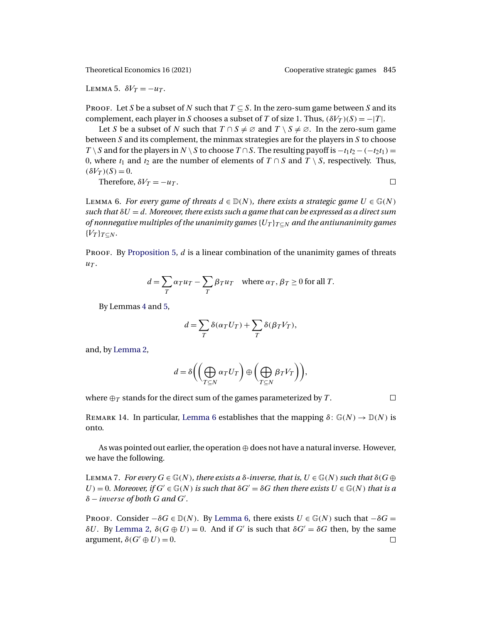<span id="page-20-0"></span>LEMMA 5.  $\delta V_T = -u_T$ .

PROOF. Let S be a subset of N such that  $T \subseteq S$ . In the zero-sum game between S and its complement, each player in S chooses a subset of T of size 1. Thus,  $(\delta V_T)(S) = -|T|$ .

Let S be a subset of N such that  $T \cap S \neq \emptyset$  and  $T \setminus S \neq \emptyset$ . In the zero-sum game between  $S$  and its complement, the minmax strategies are for the players in  $S$  to choose  $T \ S$  and for the players in N  $\ S$  to choose  $T \cap S$ . The resulting payoff is  $-t_1t_2 - (-t_2t_1) =$ 0, where  $t_1$  and  $t_2$  are the number of elements of  $T \cap S$  and  $T \setminus S$ , respectively. Thus,  $(\delta V_T)(S) = 0.$ 

Therefore, 
$$
\delta V_T = -u_T
$$
.

LEMMA 6. *For every game of threats*  $d \in \mathbb{D}(N)$ *, there exists a strategic game*  $U \in \mathbb{G}(N)$ *such that*  $\delta U = d$ *. Moreover, there exists such a game that can be expressed as a direct sum of nonnegative multiples of the unanimity games*  ${U_T}_{T\subset N}$  *and the antiunanimity games*  ${V_T}_{T\subset N}$ .

PROOF. By [Proposition 5,](#page-18-0)  $d$  is a linear combination of the unanimity games of threats  $u_T$ .

$$
d = \sum_{T} \alpha_{T} u_{T} - \sum_{T} \beta_{T} u_{T} \quad \text{where } \alpha_{T}, \beta_{T} \ge 0 \text{ for all } T.
$$

By Lemmas [4](#page-19-0) and 5,

$$
d = \sum_{T} \delta(\alpha_T U_T) + \sum_{T} \delta(\beta_T V_T),
$$

and, by [Lemma 2,](#page-18-0)

$$
d = \delta \left( \left( \bigoplus_{T \subseteq N} \alpha_T U_T \right) \oplus \left( \bigoplus_{T \subseteq N} \beta_T V_T \right) \right),
$$

where  $\bigoplus_{T}$  stands for the direct sum of the games parameterized by T.

 $\Box$ 

REMARK 14. In particular, Lemma 6 establishes that the mapping  $\delta: \mathbb{G}(N) \to \mathbb{D}(N)$  is onto.

As was pointed out earlier, the operation  $oplus$  does not have a natural inverse. However, we have the following.

LEMMA 7. *For every*  $G \in \mathbb{G}(N)$ *, there exists a*  $\delta$ *-inverse, that is,*  $U \in \mathbb{G}(N)$  *such that*  $\delta(G \oplus$  $U$ ) = 0*. Moreover, if*  $G' \in \mathbb{G}(N)$  *is such that*  $\delta G' = \delta G$  *then there exists*  $U \in \mathbb{G}(N)$  *that is a* δ − inverse *of both* G *and* G *.*

PROOF. Consider  $-\delta G \in \mathbb{D}(N)$ . By Lemma 6, there exists  $U \in \mathbb{G}(N)$  such that  $-\delta G =$  $\delta U$ . By [Lemma 2,](#page-18-0)  $\delta(G \oplus U) = 0$ . And if G' is such that  $\delta G' = \delta G$  then, by the same argument,  $\delta(G' \oplus U) = 0$ .  $\Box$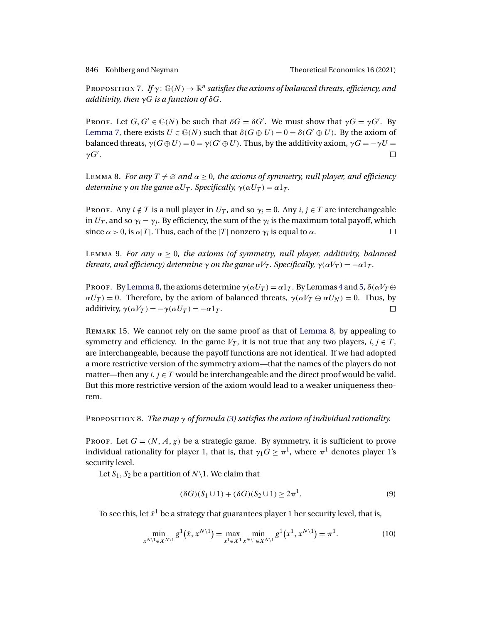<span id="page-21-0"></span>

PROPOSITION 7. If  $\gamma: \mathbb{G}(N) \to \mathbb{R}^n$  *satisfies the axioms of balanced threats, efficiency, and additivity, then* γG *is a function of* δG*.*

PROOF. Let  $G, G' \in \mathbb{G}(N)$  be such that  $\delta G = \delta G'$ . We must show that  $\gamma G = \gamma G'$ . By [Lemma 7,](#page-20-0) there exists  $U \in \mathbb{G}(N)$  such that  $\delta(G \oplus U) = 0 = \delta(G' \oplus U)$ . By the axiom of balanced threats,  $\gamma(G \oplus U) = 0 = \gamma(G' \oplus U)$ . Thus, by the additivity axiom,  $\gamma G = -\gamma U =$  $γG'$ .  $\Box$ 

Lemma 8. *For any*  $T \neq \emptyset$  *and*  $\alpha \geq 0$ *, the axioms of symmetry, null player, and efficiency determine*  $\gamma$  *on the game*  $\alpha U_T$ *. Specifically,*  $\gamma(\alpha U_T) = \alpha 1_T$ *.* 

Proof. Any  $i \notin T$  is a null player in  $U_T$ , and so  $\gamma_i = 0$ . Any  $i, j \in T$  are interchangeable in  $U_T$ , and so  $\gamma_i = \gamma_i$ . By efficiency, the sum of the  $\gamma_i$  is the maximum total payoff, which since  $\alpha > 0$ , is  $\alpha |T|$ . Thus, each of the |T| nonzero  $\gamma_i$  is equal to  $\alpha$ .  $\Box$ 

Lemma 9. *For any*  $\alpha \geq 0$ , the axioms (of symmetry, null player, additivity, balanced *threats, and efficiency) determine*  $\gamma$  *on the game*  $\alpha V_T$ *. Specifically,*  $\gamma(\alpha V_T) = -\alpha 1_T$ *.* 

Proof. By Lemma 8, the axioms determine  $\gamma(\alpha U_T) = \alpha 1_T$ . By Lemmas [4](#page-19-0) and [5,](#page-20-0)  $\delta(\alpha V_T \oplus$  $\alpha U_T$  = 0. Therefore, by the axiom of balanced threats,  $\gamma(\alpha V_T \oplus \alpha U_N) = 0$ . Thus, by additivity,  $\gamma(\alpha V_T) = -\gamma(\alpha U_T) = -\alpha 1_T$ .  $\Box$ 

REMARK 15. We cannot rely on the same proof as that of Lemma 8, by appealing to symmetry and efficiency. In the game  $V_T$ , it is not true that any two players,  $i, j \in T$ , are interchangeable, because the payoff functions are not identical. If we had adopted a more restrictive version of the symmetry axiom—that the names of the players do not matter—then any  $i, j \in T$  would be interchangeable and the direct proof would be valid. But this more restrictive version of the axiom would lead to a weaker uniqueness theorem.

Proposition 8. *The map* γ *of formula [\(3\)](#page-9-0) satisfies the axiom of individual rationality.*

Proof. Let  $G = (N, A, g)$  be a strategic game. By symmetry, it is sufficient to prove individual rationality for player 1, that is, that  $\gamma_1 G \geq \pi^1$ , where  $\pi^1$  denotes player 1's security level.

Let  $S_1, S_2$  be a partition of  $N\setminus 1$ . We claim that

$$
(\delta G)(S_1 \cup 1) + (\delta G)(S_2 \cup 1) \ge 2\pi^1. \tag{9}
$$

To see this, let  $\bar{x}^1$  be a strategy that guarantees player 1 her security level, that is,

$$
\min_{x^{N\setminus 1}\in X^{N\setminus 1}} g^1(\bar{x}, x^{N\setminus 1}) = \max_{x^1\in X^1} \min_{x^{N\setminus 1}\in X^{N\setminus 1}} g^1(x^1, x^{N\setminus 1}) = \pi^1.
$$
\n(10)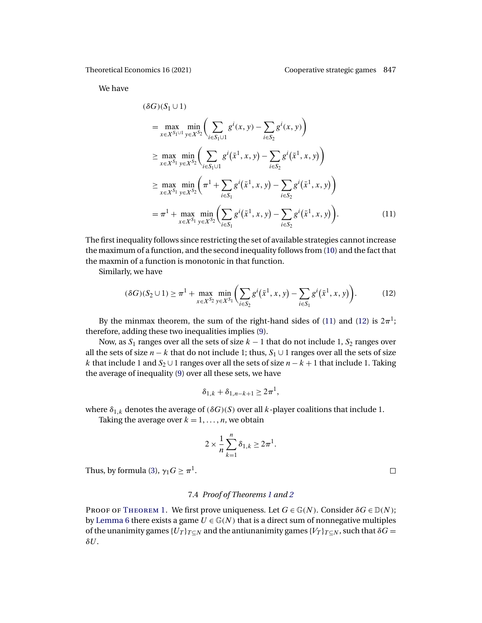<span id="page-22-0"></span>We have

$$
(\delta G)(S_1 \cup 1)
$$
  
=  $\max_{x \in X^{S_1 \cup 1}} \min_{y \in X^{S_2}} \left( \sum_{i \in S_1 \cup 1} g^i(x, y) - \sum_{i \in S_2} g^i(x, y) \right)$   

$$
\ge \max_{x \in X^{S_1}} \min_{y \in X^{S_2}} \left( \sum_{i \in S_1 \cup 1} g^i(\bar{x}^1, x, y) - \sum_{i \in S_2} g^i(\bar{x}^1, x, y) \right)
$$
  

$$
\ge \max_{x \in X^{S_1}} \min_{y \in X^{S_2}} \left( \pi^1 + \sum_{i \in S_1} g^i(\bar{x}^1, x, y) - \sum_{i \in S_2} g^i(\bar{x}^1, x, y) \right)
$$
  

$$
= \pi^1 + \max_{x \in X^{S_1}} \min_{y \in X^{S_2}} \left( \sum_{i \in S_1} g^i(\bar{x}^1, x, y) - \sum_{i \in S_2} g^i(\bar{x}^1, x, y) \right).
$$
 (11)

The first inequality follows since restricting the set of available strategies cannot increase the maximum of a function, and the second inequality follows from [\(10\)](#page-21-0) and the fact that the maxmin of a function is monotonic in that function.

Similarly, we have

$$
(\delta G)(S_2 \cup 1) \ge \pi^1 + \max_{x \in X^{S_2}} \min_{y \in X^{S_1}} \left( \sum_{i \in S_2} g^i(\bar{x}^1, x, y) - \sum_{i \in S_1} g^i(\bar{x}^1, x, y) \right). \tag{12}
$$

By the minmax theorem, the sum of the right-hand sides of (11) and (12) is  $2\pi$ <sup>1</sup>; therefore, adding these two inequalities implies [\(9\)](#page-21-0).

Now, as  $S_1$  ranges over all the sets of size  $k - 1$  that do not include 1,  $S_2$  ranges over all the sets of size  $n - k$  that do not include 1; thus,  $S_1 \cup 1$  ranges over all the sets of size k that include 1 and  $S_2$  ∪ 1 ranges over all the sets of size  $n - k + 1$  that include 1. Taking the average of inequality [\(9\)](#page-21-0) over all these sets, we have

$$
\delta_{1,k}+\delta_{1,n-k+1}\geq 2\pi^1,
$$

where  $\delta_{1,k}$  denotes the average of ( $\delta G$ )(S) over all  $k$ -player coalitions that include 1.

Taking the average over  $k = 1, \ldots, n$ , we obtain

$$
2 \times \frac{1}{n} \sum_{k=1}^{n} \delta_{1,k} \ge 2\pi^1.
$$

Thus, by formula [\(3\)](#page-9-0),  $\gamma_1 G \geq \pi^1$ .

# 7.4 *Proof of Theorems [1](#page-9-0) and [2](#page-11-0)*

PROOF OF THEOREM 1. We first prove uniqueness. Let  $G \in \mathbb{G}(N)$ . Consider  $\delta G \in \mathbb{D}(N)$ ; by [Lemma 6](#page-20-0) there exists a game  $U \in \mathbb{G}(N)$  that is a direct sum of nonnegative multiples of the unanimity games { $U_T$ } $_{T\subseteq N}$  and the antiunanimity games { $V_T$ } $_{T\subseteq N}$ , such that  $\delta G =$  $\delta U$ .

 $\Box$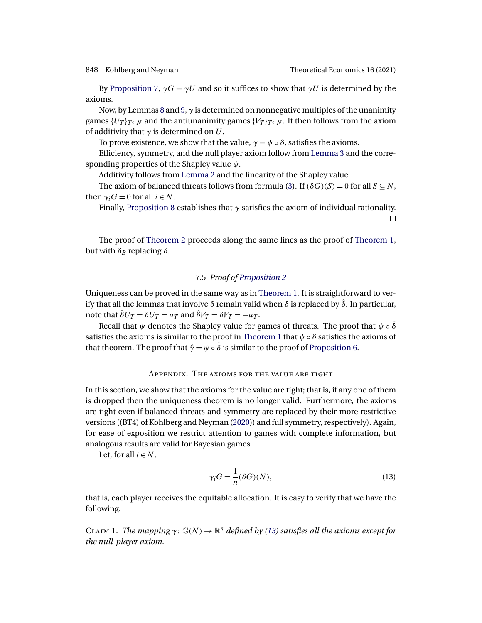<span id="page-23-0"></span>

By [Proposition 7,](#page-21-0)  $\gamma G = \gamma U$  and so it suffices to show that  $\gamma U$  is determined by the axioms.

Now, by Lemmas [8](#page-21-0) and [9,](#page-21-0)  $\gamma$  is determined on nonnegative multiples of the unanimity games  ${U_T}_{T\subset N}$  and the antiunanimity games  ${V_T}_{T\subset N}$ . It then follows from the axiom of additivity that  $\gamma$  is determined on U.

To prove existence, we show that the value,  $\gamma = \psi \circ \delta$ , satisfies the axioms.

Efficiency, symmetry, and the null player axiom follow from [Lemma 3](#page-19-0) and the corresponding properties of the Shapley value  $\psi$ .

Additivity follows from [Lemma 2](#page-18-0) and the linearity of the Shapley value.

The axiom of balanced threats follows from formula [\(3\)](#page-9-0). If  $(\delta G)(S) = 0$  for all  $S \subseteq N$ , then  $\gamma_i G = 0$  for all  $i \in N$ .

Finally, [Proposition 8](#page-21-0) establishes that  $\gamma$  satisfies the axiom of individual rationality.  $\Box$ 

The proof of [Theorem 2](#page-11-0) proceeds along the same lines as the proof of [Theorem 1,](#page-9-0) but with  $δ_B$  replacing  $δ$ .

# 7.5 *Proof of [Proposition 2](#page-16-0)*

Uniqueness can be proved in the same way as in [Theorem 1.](#page-9-0) It is straightforward to verify that all the lemmas that involve  $\delta$  remain valid when  $\delta$  is replaced by  $\hat{\delta}$ . In particular, note that  $\hat{\delta}U_T = \delta U_T = u_T$  and  $\hat{\delta}V_T = \delta V_T = -u_T$ .

Recall that  $\psi$  denotes the Shapley value for games of threats. The proof that  $\psi \circ \hat{\delta}$ satisfies the axioms is similar to the proof in [Theorem 1](#page-9-0) that  $\psi \circ \delta$  satisfies the axioms of that theorem. The proof that  $\hat{\gamma} = \psi \circ \hat{\delta}$  is similar to the proof of [Proposition 6.](#page-18-0)

## Appendix: The axioms for the value are tight

In this section, we show that the axioms for the value are tight; that is, if any one of them is dropped then the uniqueness theorem is no longer valid. Furthermore, the axioms are tight even if balanced threats and symmetry are replaced by their more restrictive versions ((BT4) of Kohlberg and Neyman [\(2020\)](#page-26-0)) and full symmetry, respectively). Again, for ease of exposition we restrict attention to games with complete information, but analogous results are valid for Bayesian games.

Let, for all  $i \in N$ ,

$$
\gamma_i G = \frac{1}{n} (\delta G)(N),\tag{13}
$$

that is, each player receives the equitable allocation. It is easy to verify that we have the following.

CLAIM 1. *The mapping*  $\gamma: \mathbb{G}(N) \to \mathbb{R}^n$  *defined by (13) satisfies all the axioms except for the null-player axiom.*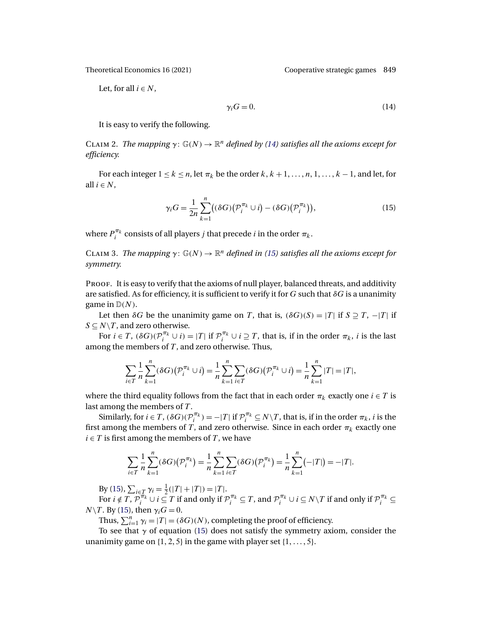Let, for all  $i \in N$ ,

$$
\gamma_i G = 0. \tag{14}
$$

It is easy to verify the following.

CLAIM 2. *The mapping*  $\gamma: \mathbb{G}(N) \to \mathbb{R}^n$  *defined by (14) satisfies all the axioms except for efficiency.*

For each integer  $1 \le k \le n$ , let  $\pi_k$  be the order  $k, k + 1, \ldots, n, 1, \ldots, k - 1$ , and let, for all  $i \in N$ ,

$$
\gamma_i G = \frac{1}{2n} \sum_{k=1}^n \bigl( (\delta G) \bigl( \mathcal{P}_i^{\pi_k} \cup i \bigr) - (\delta G) \bigl( \mathcal{P}_i^{\pi_k} \bigr) \bigr),\tag{15}
$$

where  $P_i^{\pi_k}$  consists of all players j that precede i in the order  $\pi_k$ .

CLAIM 3. *The mapping*  $\gamma: \mathbb{G}(N) \to \mathbb{R}^n$  *defined in (15) satisfies all the axioms except for symmetry.*

PROOF. It is easy to verify that the axioms of null player, balanced threats, and additivity are satisfied. As for efficiency, it is sufficient to verify it for G such that  $\delta G$  is a unanimity game in  $\mathbb{D}(N)$ .

Let then  $\delta G$  be the unanimity game on T, that is,  $(\delta G)(S) = |T|$  if  $S \supseteq T$ ,  $-|T|$  if  $S \subseteq N \setminus T$ , and zero otherwise.

For  $i \in T$ ,  $(\delta G)(\mathcal{P}_i^{\pi_k} \cup i) = |T|$  if  $\mathcal{P}_i^{\pi_k} \cup i \supseteq T$ , that is, if in the order  $\pi_k$ , *i* is the last among the members of  $T$ , and zero otherwise. Thus,

$$
\sum_{i \in T} \frac{1}{n} \sum_{k=1}^{n} (\delta G) \big( \mathcal{P}_i^{\pi_k} \cup i \big) = \frac{1}{n} \sum_{k=1}^{n} \sum_{i \in T} (\delta G) \big( \mathcal{P}_i^{\pi_k} \cup i \big) = \frac{1}{n} \sum_{k=1}^{n} |T| = |T|,
$$

where the third equality follows from the fact that in each order  $\pi_k$  exactly one  $i \in T$  is last among the members of T.

Similarly, for  $i \in T$ ,  $(\delta G)(\mathcal{P}_i^{\pi_k}) = -|T|$  if  $\mathcal{P}_i^{\pi_k} \subseteq N \setminus T$ , that is, if in the order  $\pi_k$ , i is the first among the members of T, and zero otherwise. Since in each order  $\pi_k$  exactly one  $i \in T$  is first among the members of T, we have

$$
\sum_{i \in T} \frac{1}{n} \sum_{k=1}^{n} (\delta G)(\mathcal{P}_{i}^{\pi_{k}}) = \frac{1}{n} \sum_{k=1}^{n} \sum_{i \in T} (\delta G)(\mathcal{P}_{i}^{\pi_{k}}) = \frac{1}{n} \sum_{k=1}^{n} (-|T|) = -|T|.
$$

By (15),  $\sum_{i \in T} \gamma_i = \frac{1}{2}(|T| + |T|) = |T|$ .

For  $i \notin T$ ,  $\mathcal{P}_i^{\pi_k} \cup i \subseteq T$  if and only if  $\mathcal{P}_i^{\pi_k} \subseteq T$ , and  $\mathcal{P}_i^{\pi_k} \cup i \subseteq N \setminus T$  if and only if  $\mathcal{P}_i^{\pi_k} \subseteq T$  $N\backslash T$ . By (15), then  $\gamma_i G = 0$ .

Thus,  $\sum_{i=1}^{n} \gamma_i = |T| = (\delta G)(N)$ , completing the proof of efficiency.

To see that  $\gamma$  of equation (15) does not satisfy the symmetry axiom, consider the unanimity game on  $\{1, 2, 5\}$  in the game with player set  $\{1, \ldots, 5\}$ .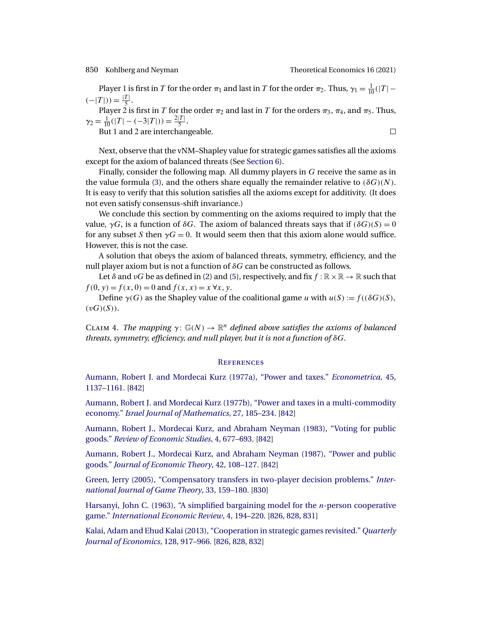<span id="page-25-0"></span>

Player 1 is first in T for the order  $\pi_1$  and last in T for the order  $\pi_2$ . Thus,  $\gamma_1 = \frac{1}{10}(|T| (-|T|)) = \frac{|T|}{5}.$ 

Player 2 is first in  $T$  for the order  $\pi_2$  and last in  $T$  for the orders  $\pi_3,\,\pi_4,$  and  $\pi_5.$  Thus,  $\gamma_2 = \frac{1}{10}(|T| - (-3|T|)) = \frac{2|T|}{5}.$ 

But 1 and 2 are interchangeable.

 $\Box$ 

Next, observe that the vNM–Shapley value for strategic games satisfies all the axioms except for the axiom of balanced threats (See [Section 6\)](#page-15-0).

Finally, consider the following map. All dummy players in G receive the same as in the value formula [\(3\)](#page-9-0), and the others share equally the remainder relative to  $(\delta G)(N)$ . It is easy to verify that this solution satisfies all the axioms except for additivity. (It does not even satisfy consensus-shift invariance.)

We conclude this section by commenting on the axioms required to imply that the value,  $\gamma G$ , is a function of  $\delta G$ . The axiom of balanced threats says that if  $(\delta G)(S) = 0$ for any subset S then  $\gamma G = 0$ . It would seem then that this axiom alone would suffice. However, this is not the case.

A solution that obeys the axiom of balanced threats, symmetry, efficiency, and the null player axiom but is not a function of  $\delta G$  can be constructed as follows.

Let  $\delta$  and  $vG$  be as defined in [\(2\)](#page-8-0) and [\(5\)](#page-16-0), respectively, and fix  $f : \mathbb{R} \times \mathbb{R} \to \mathbb{R}$  such that  $f(0, y) = f(x, 0) = 0$  and  $f(x, x) = x \forall x, y$ .

Define  $\gamma(G)$  as the Shapley value of the coalitional game u with  $u(S) := f((\delta G)(S),$  $(vG)(S)$ ).

CLAIM 4. *The mapping*  $\gamma: \mathbb{G}(N) \to \mathbb{R}^n$  *defined above satisfies the axioms of balanced threats, symmetry, efficiency, and null player, but it is not a function of* δG*.*

## **REFERENCES**

[Aumann, Robert J. and Mordecai Kurz \(1977a\), "Power and taxes."](http://www.e-publications.org/srv/te/linkserver/openurl?rft_dat=bib:1/AumannK77&rfe_id=urn:sici%2F1933-6837%282021%2916%3A3%3C825%3ACSG%3E2.0.CO%3B2-C) *Econometrica*, 45, [1137–1161.](http://www.e-publications.org/srv/te/linkserver/openurl?rft_dat=bib:1/AumannK77&rfe_id=urn:sici%2F1933-6837%282021%2916%3A3%3C825%3ACSG%3E2.0.CO%3B2-C) [\[842\]](#page-17-0)

[Aumann, Robert J. and Mordecai Kurz \(1977b\), "Power and taxes in a multi-commodity](http://www.e-publications.org/srv/te/linkserver/openurl?rft_dat=bib:2/AumannK77b&rfe_id=urn:sici%2F1933-6837%282021%2916%3A3%3C825%3ACSG%3E2.0.CO%3B2-C) economy." *[Israel Journal of Mathematics](http://www.e-publications.org/srv/te/linkserver/openurl?rft_dat=bib:2/AumannK77b&rfe_id=urn:sici%2F1933-6837%282021%2916%3A3%3C825%3ACSG%3E2.0.CO%3B2-C)*, 27, 185–234. [\[842\]](#page-17-0)

[Aumann, Robert J., Mordecai Kurz, and Abraham Neyman \(1983\), "Voting for public](http://www.e-publications.org/srv/te/linkserver/openurl?rft_dat=bib:3/AumannKN83&rfe_id=urn:sici%2F1933-6837%282021%2916%3A3%3C825%3ACSG%3E2.0.CO%3B2-C) goods." *[Review of Economic Studies](http://www.e-publications.org/srv/te/linkserver/openurl?rft_dat=bib:3/AumannKN83&rfe_id=urn:sici%2F1933-6837%282021%2916%3A3%3C825%3ACSG%3E2.0.CO%3B2-C)*, 4, 677–693. [\[842\]](#page-17-0)

[Aumann, Robert J., Mordecai Kurz, and Abraham Neyman \(1987\), "Power and public](http://www.e-publications.org/srv/te/linkserver/openurl?rft_dat=bib:4/AumannKN87&rfe_id=urn:sici%2F1933-6837%282021%2916%3A3%3C825%3ACSG%3E2.0.CO%3B2-C) goods." *[Journal of Economic Theory](http://www.e-publications.org/srv/te/linkserver/openurl?rft_dat=bib:4/AumannKN87&rfe_id=urn:sici%2F1933-6837%282021%2916%3A3%3C825%3ACSG%3E2.0.CO%3B2-C)*, 42, 108–127. [\[842\]](#page-17-0)

[Green, Jerry \(2005\), "Compensatory transfers in two-player decision problems."](http://www.e-publications.org/srv/te/linkserver/openurl?rft_dat=bib:5/Green05&rfe_id=urn:sici%2F1933-6837%282021%2916%3A3%3C825%3ACSG%3E2.0.CO%3B2-C) *Inter[national Journal of Game Theory](http://www.e-publications.org/srv/te/linkserver/openurl?rft_dat=bib:5/Green05&rfe_id=urn:sici%2F1933-6837%282021%2916%3A3%3C825%3ACSG%3E2.0.CO%3B2-C)*, 33, 159–180. [\[830\]](#page-5-0)

[Harsanyi, John C. \(1963\), "A simplified bargaining model for the](http://www.e-publications.org/srv/te/linkserver/openurl?rft_dat=bib:6/Harsanyi63&rfe_id=urn:sici%2F1933-6837%282021%2916%3A3%3C825%3ACSG%3E2.0.CO%3B2-C)  $n$ -person cooperative game." *[International Economic Review](http://www.e-publications.org/srv/te/linkserver/openurl?rft_dat=bib:6/Harsanyi63&rfe_id=urn:sici%2F1933-6837%282021%2916%3A3%3C825%3ACSG%3E2.0.CO%3B2-C)*, 4, 194–220. [\[826,](#page-1-0) [828,](#page-3-0) [831\]](#page-6-0)

[Kalai, Adam and Ehud Kalai \(2013\), "Cooperation in strategic games revisited."](http://www.e-publications.org/srv/te/linkserver/openurl?rft_dat=bib:7/KalaiK13&rfe_id=urn:sici%2F1933-6837%282021%2916%3A3%3C825%3ACSG%3E2.0.CO%3B2-C) *Quarterly [Journal of Economics](http://www.e-publications.org/srv/te/linkserver/openurl?rft_dat=bib:7/KalaiK13&rfe_id=urn:sici%2F1933-6837%282021%2916%3A3%3C825%3ACSG%3E2.0.CO%3B2-C)*, 128, 917–966. [\[826,](#page-1-0) [828,](#page-3-0) [832\]](#page-7-0)